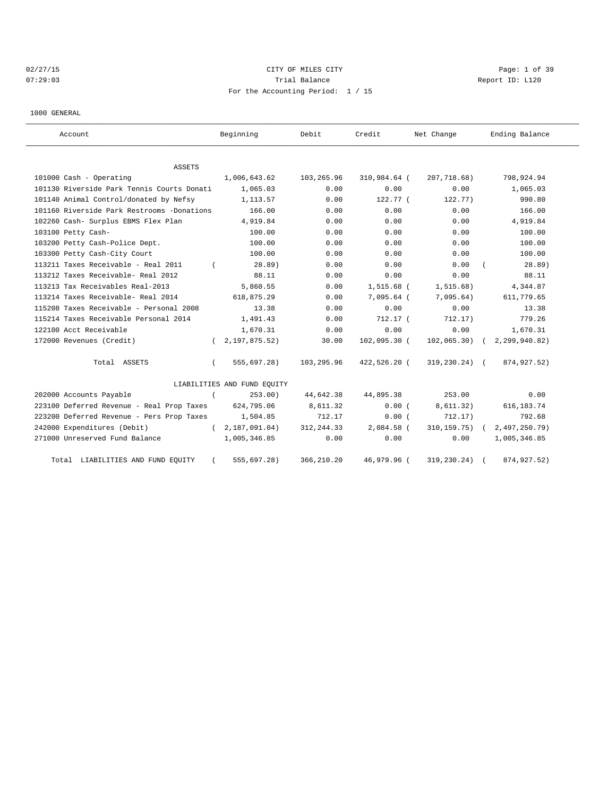## 02/27/15 CITY OF MILES CITY Page: 1 of 39 07:29:03 Report ID: L120 For the Accounting Period: 1 / 15

1000 GENERAL

| Account                                    | Beginning                   | Debit       | Credit         | Net Change        | Ending Balance |
|--------------------------------------------|-----------------------------|-------------|----------------|-------------------|----------------|
| <b>ASSETS</b>                              |                             |             |                |                   |                |
| 101000 Cash - Operating                    | 1,006,643.62                | 103,265.96  | 310,984.64 (   | 207,718.68)       | 798,924.94     |
| 101130 Riverside Park Tennis Courts Donati | 1,065.03                    | 0.00        | 0.00           | 0.00              | 1,065.03       |
| 101140 Animal Control/donated by Nefsy     | 1,113.57                    | 0.00        | $122.77$ (     | 122.77)           | 990.80         |
| 101160 Riverside Park Restrooms -Donations | 166.00                      | 0.00        | 0.00           | 0.00              | 166.00         |
| 102260 Cash- Surplus EBMS Flex Plan        | 4,919.84                    | 0.00        | 0.00           | 0.00              | 4,919.84       |
| 103100 Petty Cash-                         | 100.00                      | 0.00        | 0.00           | 0.00              | 100.00         |
| 103200 Petty Cash-Police Dept.             | 100.00                      | 0.00        | 0.00           | 0.00              | 100.00         |
| 103300 Petty Cash-City Court               | 100.00                      | 0.00        | 0.00           | 0.00              | 100.00         |
| 113211 Taxes Receivable - Real 2011        | 28.89)                      | 0.00        | 0.00           | 0.00              | 28.89)         |
| 113212 Taxes Receivable- Real 2012         | 88.11                       | 0.00        | 0.00           | 0.00              | 88.11          |
| 113213 Tax Receivables Real-2013           | 5,860.55                    | 0.00        | 1,515.68 (     | 1, 515.68)        | 4,344.87       |
| 113214 Taxes Receivable- Real 2014         | 618,875.29                  | 0.00        | 7,095.64 (     | 7,095.64)         | 611,779.65     |
| 115208 Taxes Receivable - Personal 2008    | 13.38                       | 0.00        | 0.00           | 0.00              | 13.38          |
| 115214 Taxes Receivable Personal 2014      | 1,491.43                    | 0.00        | $712.17$ (     | 712.17)           | 779.26         |
| 122100 Acct Receivable                     | 1,670.31                    | 0.00        | 0.00           | 0.00              | 1,670.31       |
| 172000 Revenues (Credit)                   | 2,197,875.52)<br>$\sqrt{2}$ | 30.00       | 102,095.30 (   | $102,065.30$ (    | 2,299,940.82)  |
| Total ASSETS                               | 555,697.28)                 | 103,295.96  | $422,526.20$ ( | $319, 230.24)$ (  | 874,927.52)    |
|                                            | LIABILITIES AND FUND EQUITY |             |                |                   |                |
| 202000 Accounts Payable                    | 253.00<br>$\left($          | 44,642.38   | 44,895.38      | 253.00            | 0.00           |
| 223100 Deferred Revenue - Real Prop Taxes  | 624,795.06                  | 8,611.32    | 0.00(          | 8,611.32)         | 616, 183.74    |
| 223200 Deferred Revenue - Pers Prop Taxes  | 1,504.85                    | 712.17      | 0.00(          | 712.17)           | 792.68         |
| 242000 Expenditures (Debit)                | 2,187,091.04)<br>$\sqrt{2}$ | 312, 244.33 | 2,084.58 (     | $310, 159.75$ ) ( | 2,497,250.79)  |
| 271000 Unreserved Fund Balance             | 1,005,346.85                | 0.00        | 0.00           | 0.00              | 1,005,346.85   |
| Total LIABILITIES AND FUND EQUITY          | 555,697.28)                 | 366, 210.20 | 46,979.96 (    | 319,230.24)       | 874, 927.52)   |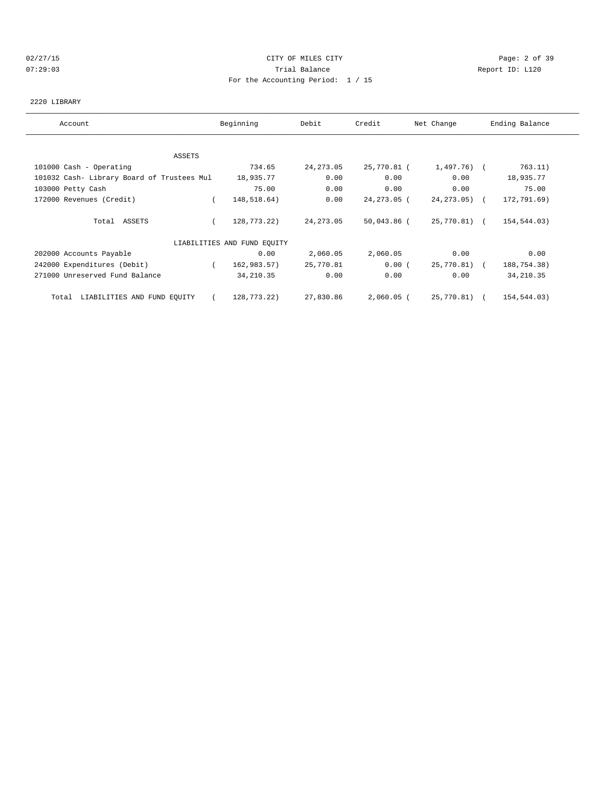#### 02/27/15 CITY OF MILES CITY Page: 2 of 39 07:29:03 Trial Balance Report ID: L120 For the Accounting Period: 1 / 15

#### 2220 LIBRARY

| Account                                    | Beginning                   | Debit      | Credit       | Net Change      | Ending Balance |
|--------------------------------------------|-----------------------------|------------|--------------|-----------------|----------------|
|                                            |                             |            |              |                 |                |
| ASSETS                                     |                             |            |              |                 |                |
| 101000 Cash - Operating                    | 734.65                      | 24, 273.05 | 25,770.81 (  | 1,497.76) (     | 763.11)        |
| 101032 Cash- Library Board of Trustees Mul | 18,935.77                   | 0.00       | 0.00         | 0.00            | 18,935.77      |
| 103000 Petty Cash                          | 75.00                       | 0.00       | 0.00         | 0.00            | 75.00          |
| 172000 Revenues (Credit)                   | 148,518.64)                 | 0.00       | 24,273.05 (  | $24, 273, 05$ ( | 172,791.69)    |
| Total ASSETS                               | 128,773.22)                 | 24, 273.05 | 50,043.86 (  | 25,770.81) (    | 154,544.03)    |
|                                            | LIABILITIES AND FUND EQUITY |            |              |                 |                |
| 202000 Accounts Payable                    | 0.00                        | 2,060.05   | 2,060.05     | 0.00            | 0.00           |
| 242000 Expenditures (Debit)                | 162,983.57)<br>$\left($     | 25,770.81  | 0.00(        | 25,770.81) (    | 188,754.38)    |
| 271000 Unreserved Fund Balance             | 34, 210.35                  | 0.00       | 0.00         | 0.00            | 34, 210.35     |
| LIABILITIES AND FUND EQUITY<br>Total       | 128,773.22)                 | 27,830.86  | $2,060.05$ ( | 25,770.81) (    | 154,544.03)    |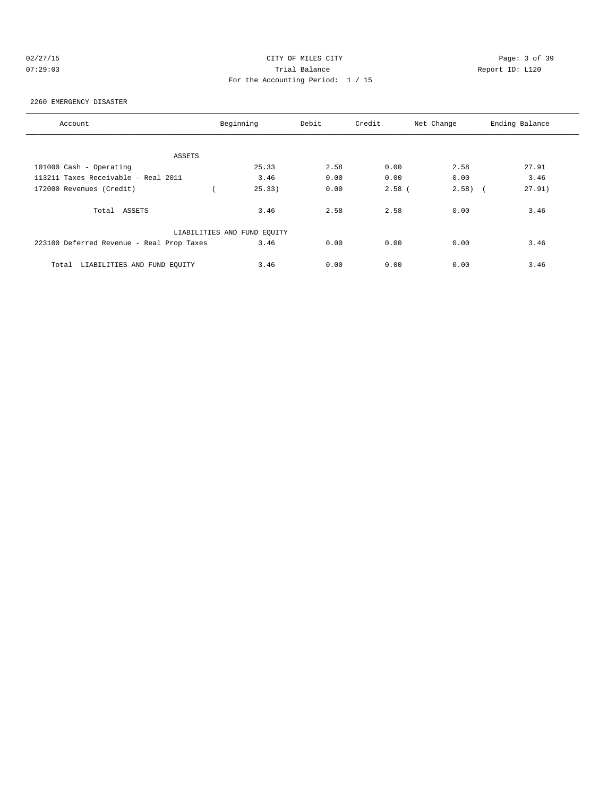## 02/27/15 CITY OF MILES CITY Page: 3 of 39 07:29:03 Trial Balance Report ID: L120 For the Accounting Period: 1 / 15

#### 2260 EMERGENCY DISASTER

| Account                                   | Beginning                   | Debit | Credit   | Net Change | Ending Balance |
|-------------------------------------------|-----------------------------|-------|----------|------------|----------------|
|                                           |                             |       |          |            |                |
| ASSETS                                    |                             |       |          |            |                |
| 101000 Cash - Operating                   | 25.33                       | 2.58  | 0.00     | 2.58       | 27.91          |
| 113211 Taxes Receivable - Real 2011       | 3.46                        | 0.00  | 0.00     | 0.00       | 3.46           |
| 172000 Revenues (Credit)                  | 25.33)                      | 0.00  | $2.58$ ( | $2.58$ (   | 27.91)         |
| Total ASSETS                              | 3.46                        | 2.58  | 2.58     | 0.00       | 3.46           |
|                                           | LIABILITIES AND FUND EQUITY |       |          |            |                |
| 223100 Deferred Revenue - Real Prop Taxes | 3.46                        | 0.00  | 0.00     | 0.00       | 3.46           |
| LIABILITIES AND FUND EQUITY<br>Total      | 3.46                        | 0.00  | 0.00     | 0.00       | 3.46           |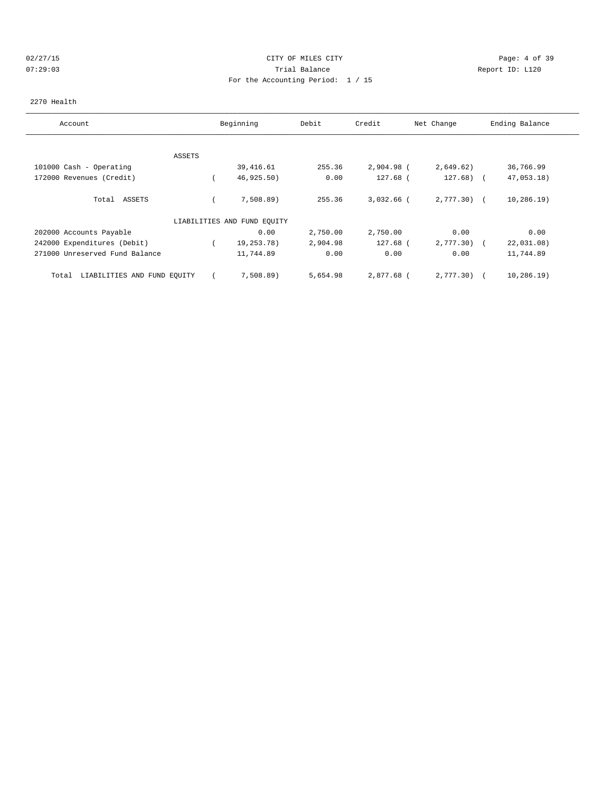## 02/27/15 CITY OF MILES CITY Page: 4 of 39 07:29:03 Trial Balance Report ID: L120 For the Accounting Period: 1 / 15

#### 2270 Health

| Account                              |        | Beginning                   | Debit    | Credit       | Net Change   | Ending Balance |
|--------------------------------------|--------|-----------------------------|----------|--------------|--------------|----------------|
|                                      |        |                             |          |              |              |                |
|                                      | ASSETS |                             |          |              |              |                |
| 101000 Cash - Operating              |        | 39,416.61                   | 255.36   | $2,904.98$ ( | 2,649.62)    | 36,766.99      |
| 172000 Revenues (Credit)             |        | 46, 925.50)                 | 0.00     | 127.68 (     | $127.68$ (   | 47,053.18)     |
| ASSETS<br>Total                      |        | 7,508.89)                   | 255.36   | $3,032.66$ ( | $2,777.30$ ( | 10, 286.19)    |
|                                      |        | LIABILITIES AND FUND EQUITY |          |              |              |                |
| 202000 Accounts Payable              |        | 0.00                        | 2,750.00 | 2,750.00     | 0.00         | 0.00           |
| 242000 Expenditures (Debit)          |        | 19,253.78)                  | 2,904.98 | 127.68 (     | 2,777.30)    | 22,031.08)     |
| 271000 Unreserved Fund Balance       |        | 11,744.89                   | 0.00     | 0.00         | 0.00         | 11,744.89      |
| LIABILITIES AND FUND EQUITY<br>Total |        | 7,508.89                    | 5,654.98 | 2,877.68 (   | 2,777.30)    | 10, 286.19)    |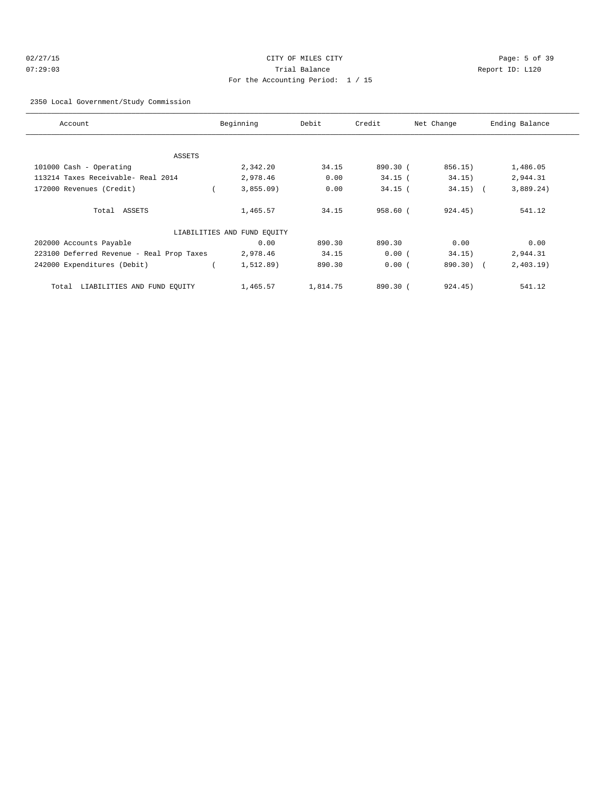## 02/27/15 CITY OF MILES CITY Page: 5 of 39 07:29:03 Trial Balance Report ID: L120 For the Accounting Period: 1 / 15

#### 2350 Local Government/Study Commission

| Account                                   | Beginning                   | Debit    | Credit     | Net Change | Ending Balance |
|-------------------------------------------|-----------------------------|----------|------------|------------|----------------|
|                                           |                             |          |            |            |                |
| ASSETS                                    |                             |          |            |            |                |
| 101000 Cash - Operating                   | 2,342.20                    | 34.15    | 890.30 (   | 856.15)    | 1,486.05       |
| 113214 Taxes Receivable- Real 2014        | 2,978.46                    | 0.00     | $34.15$ (  | 34.15)     | 2,944.31       |
| 172000 Revenues (Credit)                  | 3,855.09                    | 0.00     | $34.15$ (  | $34.15)$ ( | 3,889.24)      |
| Total ASSETS                              | 1,465.57                    | 34.15    | $958.60$ ( | 924.45)    | 541.12         |
|                                           | LIABILITIES AND FUND EQUITY |          |            |            |                |
| 202000 Accounts Payable                   | 0.00                        | 890.30   | 890.30     | 0.00       | 0.00           |
| 223100 Deferred Revenue - Real Prop Taxes | 2,978.46                    | 34.15    | 0.00(      | 34.15)     | 2,944.31       |
| 242000 Expenditures (Debit)               | 1,512.89)                   | 890.30   | 0.00(      | 890.30) (  | 2,403.19       |
| Total LIABILITIES AND FUND EQUITY         | 1,465.57                    | 1,814.75 | 890.30(    | 924.45)    | 541.12         |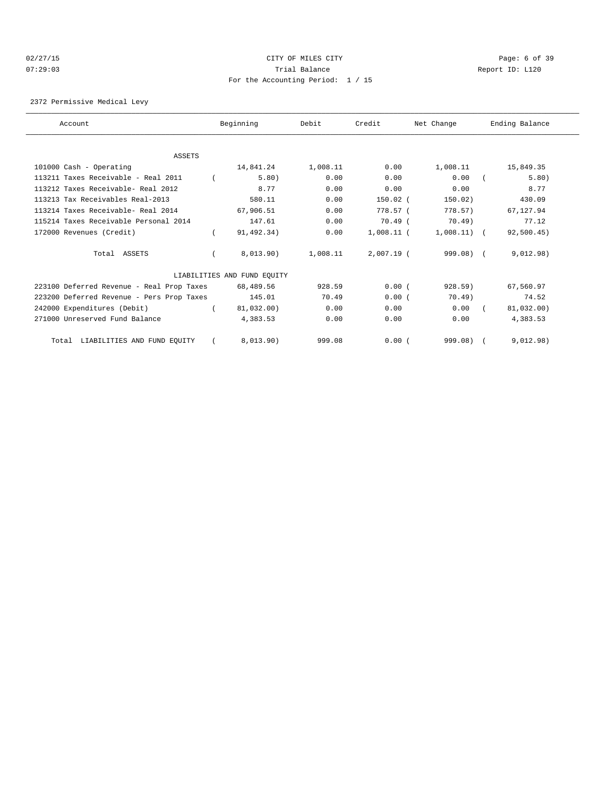#### 02/27/15 **Page: 6 of 39** CITY OF MILES CITY **CITY** CITY **Page: 6 of 39** 07:29:03 Trial Balance Report ID: L120 For the Accounting Period: 1 / 15

2372 Permissive Medical Levy

| Account                                   | Beginning                   | Debit    | Credit       | Net Change    | Ending Balance |
|-------------------------------------------|-----------------------------|----------|--------------|---------------|----------------|
|                                           |                             |          |              |               |                |
| <b>ASSETS</b>                             |                             |          |              |               |                |
| 101000 Cash - Operating                   | 14,841.24                   | 1,008.11 | 0.00         | 1,008.11      | 15,849.35      |
| 113211 Taxes Receivable - Real 2011       | 5.80)                       | 0.00     | 0.00         | 0.00          | 5.80)          |
| 113212 Taxes Receivable- Real 2012        | 8.77                        | 0.00     | 0.00         | 0.00          | 8.77           |
| 113213 Tax Receivables Real-2013          | 580.11                      | 0.00     | $150.02$ (   | 150.02)       | 430.09         |
| 113214 Taxes Receivable- Real 2014        | 67,906.51                   | 0.00     | 778.57 (     | 778.57)       | 67.127.94      |
| 115214 Taxes Receivable Personal 2014     | 147.61                      | 0.00     | $70.49$ (    | $70.49$ )     | 77.12          |
| 172000 Revenues (Credit)                  | 91,492.34)                  | 0.00     | $1,008.11$ ( | $1,008.11)$ ( | 92,500.45)     |
| Total ASSETS                              | 8,013.90)                   | 1,008.11 | $2,007.19$ ( | $999.08$ (    | 9,012.98)      |
|                                           | LIABILITIES AND FUND EQUITY |          |              |               |                |
| 223100 Deferred Revenue - Real Prop Taxes | 68,489.56                   | 928.59   | 0.00(        | $928.59$ )    | 67,560.97      |
| 223200 Deferred Revenue - Pers Prop Taxes | 145.01                      | 70.49    | 0.00(        | $70.49$ )     | 74.52          |
| 242000 Expenditures (Debit)               | 81,032.00)                  | 0.00     | 0.00         | 0.00          | 81,032.00)     |
| 271000 Unreserved Fund Balance            | 4,383.53                    | 0.00     | 0.00         | 0.00          | 4,383.53       |
| Total LIABILITIES AND FUND EQUITY         | 8,013.90)                   | 999.08   | 0.00(        | $999.08$ )    | 9,012.98)      |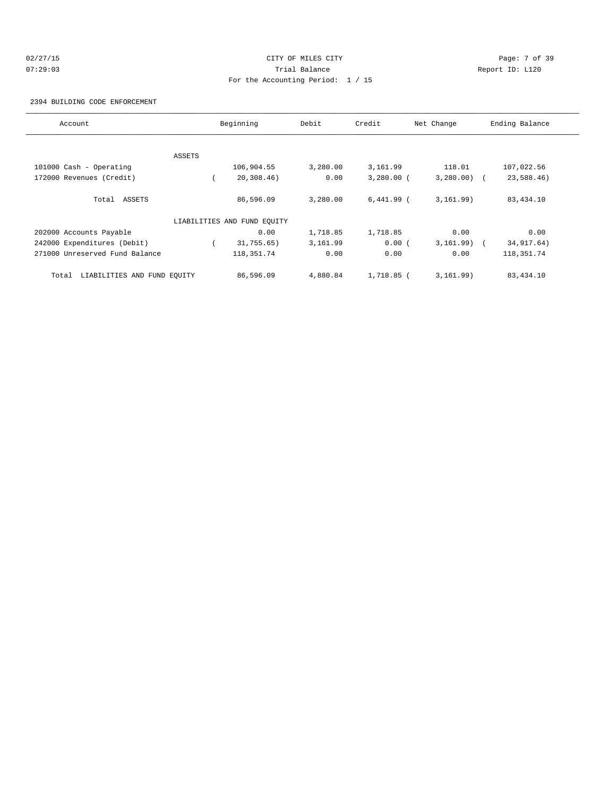## 02/27/15 **Page: 7 of 39** CITY OF MILES CITY CONTROL Page: 7 of 39 07:29:03 Trial Balance Report ID: L120 For the Accounting Period: 1 / 15

2394 BUILDING CODE ENFORCEMENT

| Account                              |        | Beginning                   | Debit    | Credit       | Net Change    | Ending Balance |
|--------------------------------------|--------|-----------------------------|----------|--------------|---------------|----------------|
|                                      |        |                             |          |              |               |                |
|                                      | ASSETS |                             |          |              |               |                |
| 101000 Cash - Operating              |        | 106,904.55                  | 3,280.00 | 3,161.99     | 118.01        | 107,022.56     |
| 172000 Revenues (Credit)             |        | 20, 308.46)                 | 0.00     | $3,280.00$ ( | $3,280.00)$ ( | 23,588.46)     |
| Total ASSETS                         |        | 86,596.09                   | 3,280.00 | $6,441.99$ ( | 3, 161.99)    | 83,434.10      |
|                                      |        | LIABILITIES AND FUND EQUITY |          |              |               |                |
| 202000 Accounts Payable              |        | 0.00                        | 1,718.85 | 1,718.85     | 0.00          | 0.00           |
| 242000 Expenditures (Debit)          |        | 31,755.65)                  | 3,161.99 | 0.00(        | 3, 161.99)    | 34, 917.64)    |
| 271000 Unreserved Fund Balance       |        | 118, 351. 74                | 0.00     | 0.00         | 0.00          | 118,351.74     |
| LIABILITIES AND FUND EQUITY<br>Total |        | 86,596.09                   | 4,880.84 | $1.718.85$ ( | 3, 161.99)    | 83,434.10      |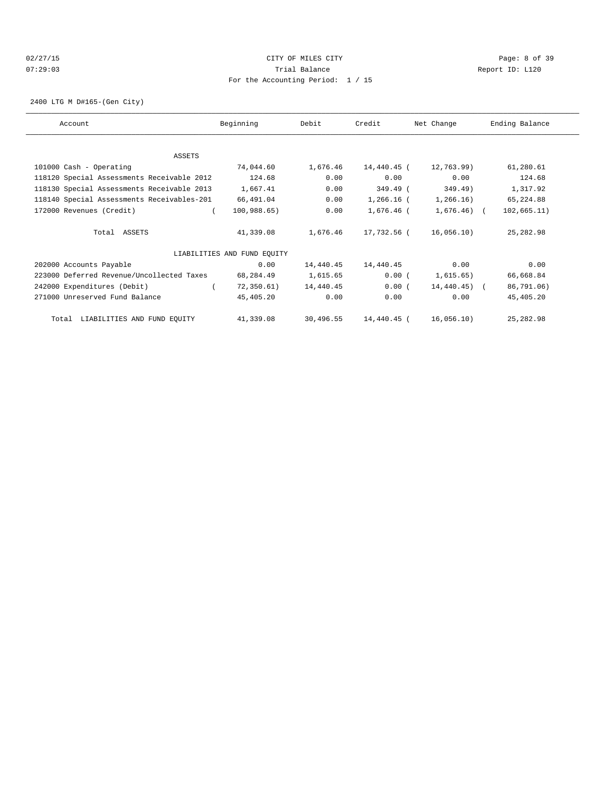## 02/27/15 CITY OF MILES CITY Page: 8 of 39 07:29:03 Trial Balance Report ID: L120 For the Accounting Period: 1 / 15

2400 LTG M D#165-(Gen City)

| Account                                    | Beginning                   | Debit     | Credit       | Net Change       | Ending Balance |
|--------------------------------------------|-----------------------------|-----------|--------------|------------------|----------------|
| ASSETS                                     |                             |           |              |                  |                |
| 101000 Cash - Operating                    | 74,044.60                   | 1,676.46  | 14,440.45 (  | 12,763.99)       | 61,280.61      |
| 118120 Special Assessments Receivable 2012 | 124.68                      | 0.00      | 0.00         | 0.00             | 124.68         |
| 118130 Special Assessments Receivable 2013 | 1,667.41                    | 0.00      | 349.49 (     | 349.49)          | 1,317.92       |
| 118140 Special Assessments Receivables-201 | 66,491.04                   | 0.00      | $1,266.16$ ( | 1,266.16)        | 65,224.88      |
| 172000 Revenues (Credit)                   | 100,988.65)                 | 0.00      | 1,676.46 (   | $1,676.46$ (     | 102, 665.11)   |
| Total ASSETS                               | 41,339.08                   | 1,676.46  | 17,732.56 (  | 16,056.10)       | 25, 282.98     |
|                                            | LIABILITIES AND FUND EQUITY |           |              |                  |                |
| 202000 Accounts Payable                    | 0.00                        | 14,440.45 | 14,440.45    | 0.00             | 0.00           |
| 223000 Deferred Revenue/Uncollected Taxes  | 68,284.49                   | 1,615.65  | 0.00(        | 1,615.65)        | 66,668.84      |
| 242000 Expenditures (Debit)                | 72, 350.61)                 | 14,440.45 | 0.00(        | $14, 440.45$ ) ( | 86,791.06)     |
| 271000 Unreserved Fund Balance             | 45,405.20                   | 0.00      | 0.00         | 0.00             | 45,405.20      |
| Total LIABILITIES AND FUND EQUITY          | 41,339.08                   | 30,496.55 | 14,440.45 (  | 16,056.10)       | 25, 282.98     |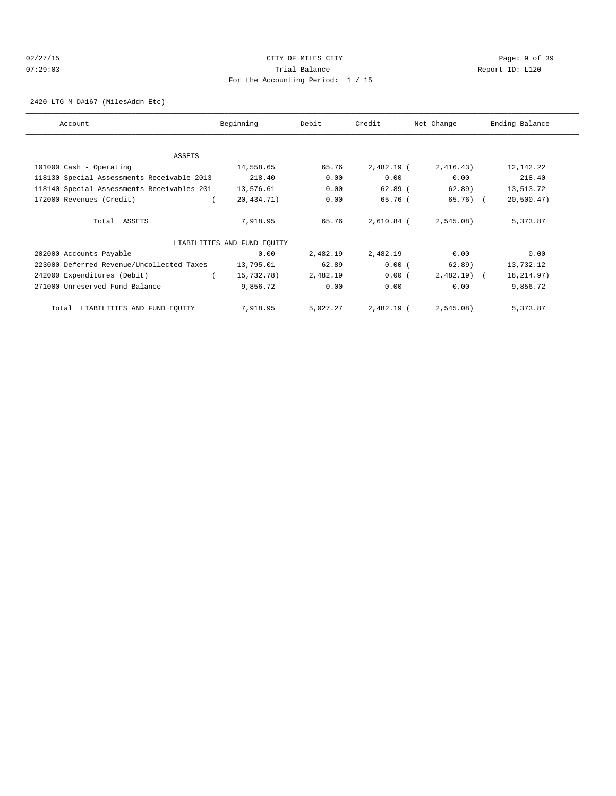## 02/27/15 **Page: 9 of 39** 07:29:03 Trial Balance Report ID: L120 For the Accounting Period: 1 / 15

2420 LTG M D#167-(MilesAddn Etc)

| Account                                    | Beginning                   | Debit    | Credit       | Net Change   | Ending Balance |
|--------------------------------------------|-----------------------------|----------|--------------|--------------|----------------|
|                                            |                             |          |              |              |                |
| ASSETS                                     |                             |          |              |              |                |
| 101000 Cash - Operating                    | 14,558.65                   | 65.76    | 2,482.19 (   | 2,416.43)    | 12, 142. 22    |
| 118130 Special Assessments Receivable 2013 | 218.40                      | 0.00     | 0.00         | 0.00         | 218.40         |
| 118140 Special Assessments Receivables-201 | 13,576.61                   | 0.00     | $62.89$ (    | 62.89)       | 13,513.72      |
| 172000 Revenues (Credit)                   | 20,434.71)                  | 0.00     | 65.76 (      | $65.76$ (    | 20, 500.47)    |
| Total ASSETS                               | 7,918.95                    | 65.76    | $2,610.84$ ( | $2,545.08$ ) | 5,373.87       |
|                                            | LIABILITIES AND FUND EQUITY |          |              |              |                |
| 202000 Accounts Payable                    | 0.00                        | 2,482.19 | 2,482.19     | 0.00         | 0.00           |
| 223000 Deferred Revenue/Uncollected Taxes  | 13,795.01                   | 62.89    | 0.00(        | 62.89)       | 13,732.12      |
| 242000 Expenditures (Debit)                | 15,732.78)                  | 2,482.19 | 0.00(        | $2,482.19$ ( | 18, 214.97)    |
| 271000 Unreserved Fund Balance             | 9,856.72                    | 0.00     | 0.00         | 0.00         | 9,856.72       |
| LIABILITIES AND FUND EQUITY<br>Total       | 7,918.95                    | 5,027.27 | 2,482.19 (   | 2,545.08)    | 5,373.87       |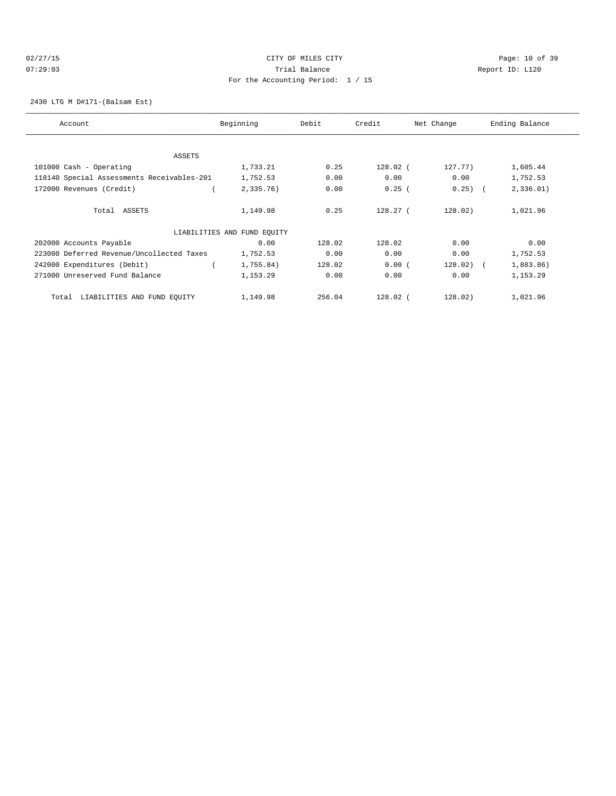## 02/27/15 **Page: 10 of 39** CITY OF MILES CITY **CITY Page: 10 of 39** 07:29:03 Trial Balance Report ID: L120 For the Accounting Period: 1 / 15

2430 LTG M D#171-(Balsam Est)

| Account                                    | Beginning                   | Debit  | Credit     | Net Change  | Ending Balance |
|--------------------------------------------|-----------------------------|--------|------------|-------------|----------------|
| ASSETS                                     |                             |        |            |             |                |
| 101000 Cash - Operating                    | 1,733.21                    | 0.25   | $128.02$ ( | 127.77)     | 1,605.44       |
| 118140 Special Assessments Receivables-201 | 1,752.53                    | 0.00   | 0.00       | 0.00        | 1,752.53       |
| 172000 Revenues (Credit)                   | 2,335.76                    | 0.00   | 0.25(      | $0.25)$ (   | 2,336.01)      |
|                                            |                             |        |            |             |                |
| Total ASSETS                               | 1,149.98                    | 0.25   | $128.27$ ( | 128.02)     | 1,021.96       |
|                                            | LIABILITIES AND FUND EQUITY |        |            |             |                |
| 202000 Accounts Payable                    | 0.00                        | 128.02 | 128.02     | 0.00        | 0.00           |
| 223000 Deferred Revenue/Uncollected Taxes  | 1,752.53                    | 0.00   | 0.00       | 0.00        | 1,752.53       |
| 242000 Expenditures (Debit)                | 1,755.84)                   | 128.02 | 0.00(      | $128.02)$ ( | 1,883.86)      |
| 271000 Unreserved Fund Balance             | 1,153.29                    | 0.00   | 0.00       | 0.00        | 1,153.29       |
| LIABILITIES AND FUND EQUITY<br>Total       | 1,149.98                    | 256.04 | 128.02 (   | 128.02)     | 1,021.96       |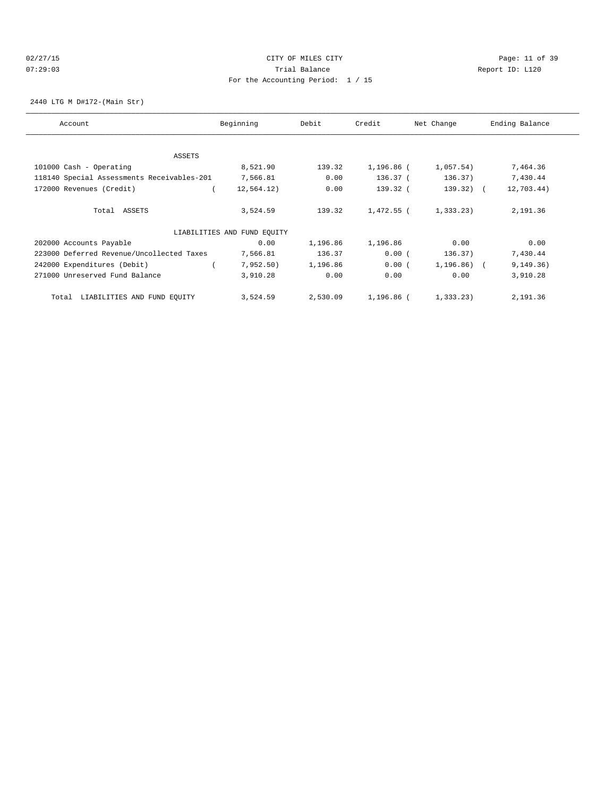#### 02/27/15 Page: 11 of 39 07:29:03 Trial Balance Report ID: L120 For the Accounting Period: 1 / 15

#### 2440 LTG M D#172-(Main Str)

| Account                                    | Beginning                   | Debit    | Credit     | Net Change     | Ending Balance |
|--------------------------------------------|-----------------------------|----------|------------|----------------|----------------|
| ASSETS                                     |                             |          |            |                |                |
| 101000 Cash - Operating                    | 8,521.90                    | 139.32   | 1,196.86 ( | 1,057.54)      | 7,464.36       |
| 118140 Special Assessments Receivables-201 | 7,566.81                    | 0.00     | 136.37 (   | 136.37)        | 7,430.44       |
| 172000 Revenues (Credit)                   | 12, 564.12)                 | 0.00     | 139.32 (   | $139.32$ ) (   | 12,703.44)     |
| Total ASSETS                               | 3,524.59                    | 139.32   | 1,472.55 ( | 1,333.23)      | 2,191.36       |
|                                            | LIABILITIES AND FUND EQUITY |          |            |                |                |
| 202000 Accounts Payable                    | 0.00                        | 1,196.86 | 1,196.86   | 0.00           | 0.00           |
| 223000 Deferred Revenue/Uncollected Taxes  | 7,566.81                    | 136.37   | 0.00(      | 136.37)        | 7,430.44       |
| 242000 Expenditures (Debit)                | 7,952.50)                   | 1,196.86 | 0.00(      | $1,196.86$ ) ( | 9, 149.36)     |
| 271000 Unreserved Fund Balance             | 3,910.28                    | 0.00     | 0.00       | 0.00           | 3,910.28       |
| LIABILITIES AND FUND EQUITY<br>Total       | 3,524.59                    | 2,530.09 | 1,196.86 ( | 1,333.23)      | 2,191.36       |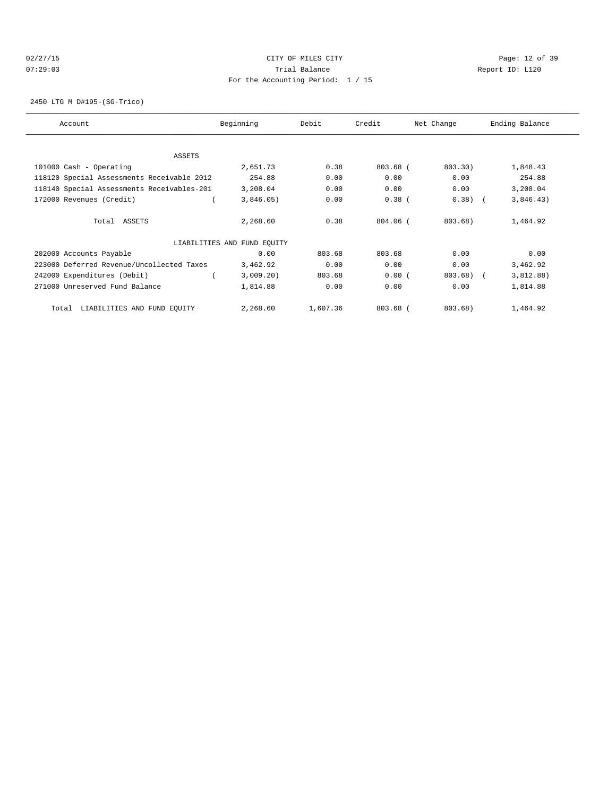## 02/27/15 **Page: 12 of 39** CITY OF MILES CITY **CITY Page: 12 of 39** 07:29:03 Trial Balance Report ID: L120 For the Accounting Period: 1 / 15

2450 LTG M D#195-(SG-Trico)

| Account                                    | Beginning                   | Debit    | Credit       | Net Change | Ending Balance |
|--------------------------------------------|-----------------------------|----------|--------------|------------|----------------|
|                                            |                             |          |              |            |                |
| ASSETS                                     |                             |          |              |            |                |
| 101000 Cash - Operating                    | 2,651.73                    | 0.38     | 803.68 (     | 803.30)    | 1,848.43       |
| 118120 Special Assessments Receivable 2012 | 254.88                      | 0.00     | 0.00         | 0.00       | 254.88         |
| 118140 Special Assessments Receivables-201 | 3,208.04                    | 0.00     | 0.00         | 0.00       | 3,208.04       |
| 172000 Revenues (Credit)                   | 3,846.05)                   | 0.00     | $0.38$ (     | 0.38)      | 3,846.43)      |
| Total ASSETS                               | 2,268.60                    | 0.38     | $804.06$ $($ | $803.68$ ) | 1,464.92       |
|                                            | LIABILITIES AND FUND EQUITY |          |              |            |                |
| 202000 Accounts Payable                    | 0.00                        | 803.68   | 803.68       | 0.00       | 0.00           |
| 223000 Deferred Revenue/Uncollected Taxes  | 3,462.92                    | 0.00     | 0.00         | 0.00       | 3,462.92       |
| 242000 Expenditures (Debit)                | 3,009.20)                   | 803.68   | 0.00(        | 803.68)    | 3,812.88)      |
| 271000 Unreserved Fund Balance             | 1,814.88                    | 0.00     | 0.00         | 0.00       | 1,814.88       |
| LIABILITIES AND FUND EQUITY<br>Total       | 2,268.60                    | 1,607.36 | $803.68$ (   | $803.68$ ) | 1,464.92       |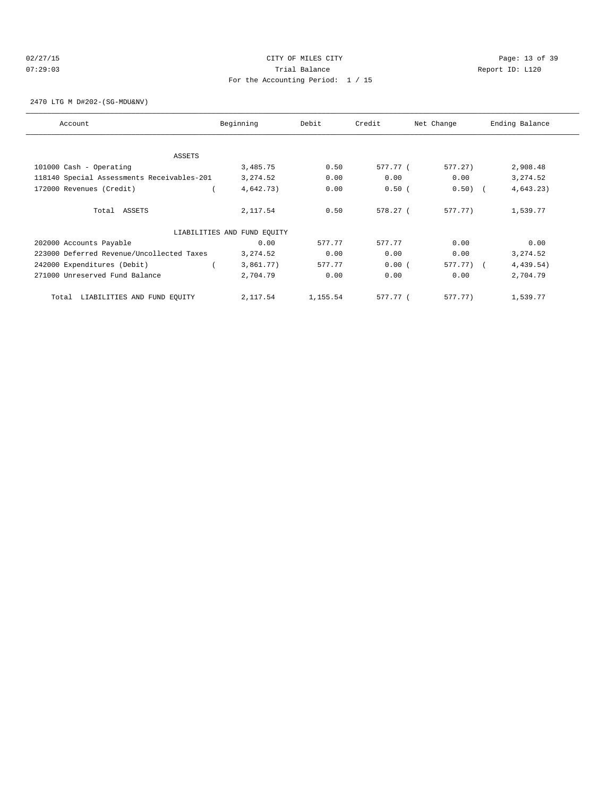## 02/27/15 **Page: 13 of 39** CITY OF MILES CITY **CITY Page: 13 of 39** 07:29:03 Trial Balance Report ID: L120 For the Accounting Period: 1 / 15

2470 LTG M D#202-(SG-MDU&NV)

| Account                                    | Beginning                   | Debit    | Credit   | Net Change | Ending Balance |
|--------------------------------------------|-----------------------------|----------|----------|------------|----------------|
| ASSETS                                     |                             |          |          |            |                |
| 101000 Cash - Operating                    | 3,485.75                    | 0.50     | 577.77 ( | 577.27)    | 2,908.48       |
| 118140 Special Assessments Receivables-201 | 3, 274.52                   | 0.00     | 0.00     | 0.00       | 3, 274.52      |
| 172000 Revenues (Credit)                   | 4,642.73)                   | 0.00     | 0.50(    | $0.50)$ (  | 4,643.23)      |
| Total ASSETS                               | 2,117.54                    | 0.50     | 578.27(  | 577.77)    | 1,539.77       |
|                                            | LIABILITIES AND FUND EQUITY |          |          |            |                |
| 202000 Accounts Payable                    | 0.00                        | 577.77   | 577.77   | 0.00       | 0.00           |
| 223000 Deferred Revenue/Uncollected Taxes  | 3, 274.52                   | 0.00     | 0.00     | 0.00       | 3, 274.52      |
| 242000 Expenditures (Debit)                | 3,861.77)                   | 577.77   | 0.00(    | 577.77) (  | 4,439.54)      |
| 271000 Unreserved Fund Balance             | 2,704.79                    | 0.00     | 0.00     | 0.00       | 2,704.79       |
| LIABILITIES AND FUND EQUITY<br>Total       | 2,117.54                    | 1,155.54 | 577.77 ( | 577.77)    | 1,539.77       |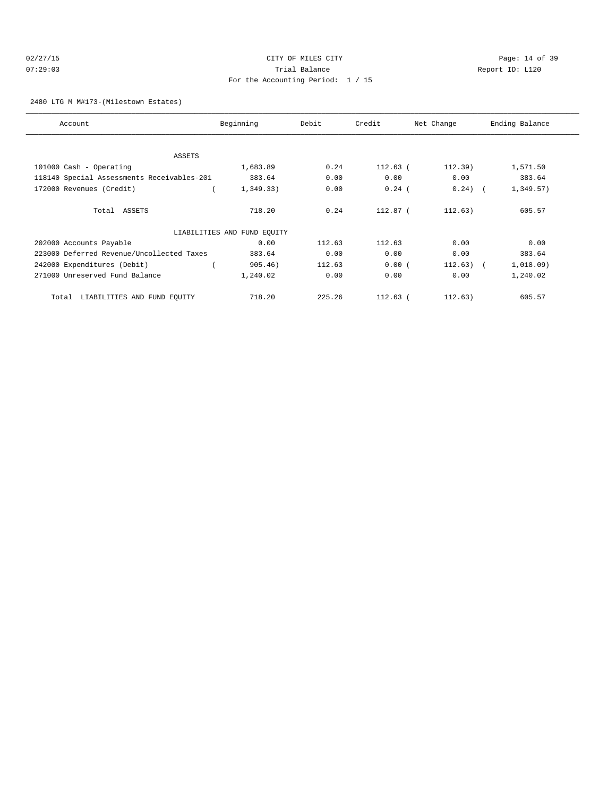#### 02/27/15 **Page: 14 of 39** CITY OF MILES CITY 07:29:03 Trial Balance Report ID: L120 For the Accounting Period: 1 / 15

#### 2480 LTG M M#173-(Milestown Estates)

| Account                                    | Beginning                   | Debit  | Credit     | Net Change   | Ending Balance |
|--------------------------------------------|-----------------------------|--------|------------|--------------|----------------|
|                                            |                             |        |            |              |                |
| <b>ASSETS</b>                              |                             |        |            |              |                |
| 101000 Cash - Operating                    | 1,683.89                    | 0.24   | $112.63$ ( | 112.39)      | 1,571.50       |
| 118140 Special Assessments Receivables-201 | 383.64                      | 0.00   | 0.00       | 0.00         | 383.64         |
| 172000 Revenues (Credit)                   | 1,349.33)                   | 0.00   | $0.24$ (   | $0.24)$ (    | 1,349.57)      |
| Total ASSETS                               | 718.20                      | 0.24   | 112.87 (   | 112.63)      | 605.57         |
|                                            | LIABILITIES AND FUND EQUITY |        |            |              |                |
| 202000 Accounts Payable                    | 0.00                        | 112.63 | 112.63     | 0.00         | 0.00           |
| 223000 Deferred Revenue/Uncollected Taxes  | 383.64                      | 0.00   | 0.00       | 0.00         | 383.64         |
| 242000 Expenditures (Debit)                | 905.46)                     | 112.63 | 0.00(      | $112.63$ ) ( | 1,018.09)      |
| 271000 Unreserved Fund Balance             | 1,240.02                    | 0.00   | 0.00       | 0.00         | 1,240.02       |
| LIABILITIES AND FUND EQUITY<br>Total       | 718.20                      | 225.26 | $112.63$ ( | 112.63)      | 605.57         |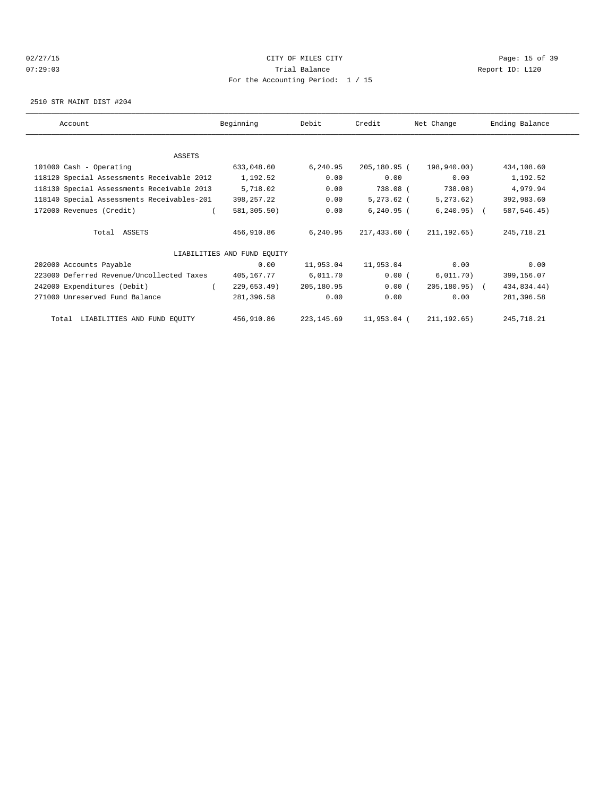## 02/27/15 **Page: 15 of 39** 07:29:03 Trial Balance Report ID: L120 For the Accounting Period: 1 / 15

2510 STR MAINT DIST #204

| Account |                                            | Beginning                   | Debit       | Credit       | Net Change        | Ending Balance |  |
|---------|--------------------------------------------|-----------------------------|-------------|--------------|-------------------|----------------|--|
|         |                                            |                             |             |              |                   |                |  |
|         | ASSETS                                     |                             |             |              |                   |                |  |
|         | 101000 Cash - Operating                    | 633,048.60                  | 6,240.95    | 205,180.95 ( | 198,940.00)       | 434,108.60     |  |
|         | 118120 Special Assessments Receivable 2012 | 1,192.52                    | 0.00        | 0.00         | 0.00              | 1,192.52       |  |
|         | 118130 Special Assessments Receivable 2013 | 5,718.02                    | 0.00        | 738.08 (     | 738.08)           | 4,979.94       |  |
|         | 118140 Special Assessments Receivables-201 | 398,257.22                  | 0.00        | $5,273.62$ ( | 5, 273.62)        | 392,983.60     |  |
|         | 172000 Revenues (Credit)                   | 581,305.50)                 | 0.00        | $6,240.95$ ( | $6, 240.95)$ (    | 587, 546.45)   |  |
|         | Total ASSETS                               | 456,910.86                  | 6,240.95    | 217,433.60 ( | 211, 192.65)      | 245,718.21     |  |
|         |                                            | LIABILITIES AND FUND EQUITY |             |              |                   |                |  |
|         | 202000 Accounts Payable                    | 0.00                        | 11,953.04   | 11,953.04    | 0.00              | 0.00           |  |
|         | 223000 Deferred Revenue/Uncollected Taxes  | 405,167.77                  | 6,011.70    | 0.00(        | 6,011.70)         | 399,156.07     |  |
|         | 242000 Expenditures (Debit)                | 229,653.49)                 | 205,180.95  | 0.00(        | $205, 180, 95)$ ( | 434,834.44)    |  |
|         | 271000 Unreserved Fund Balance             | 281,396.58                  | 0.00        | 0.00         | 0.00              | 281,396.58     |  |
|         | Total LIABILITIES AND FUND EQUITY          | 456,910.86                  | 223, 145.69 | 11,953.04 (  | 211, 192.65)      | 245,718.21     |  |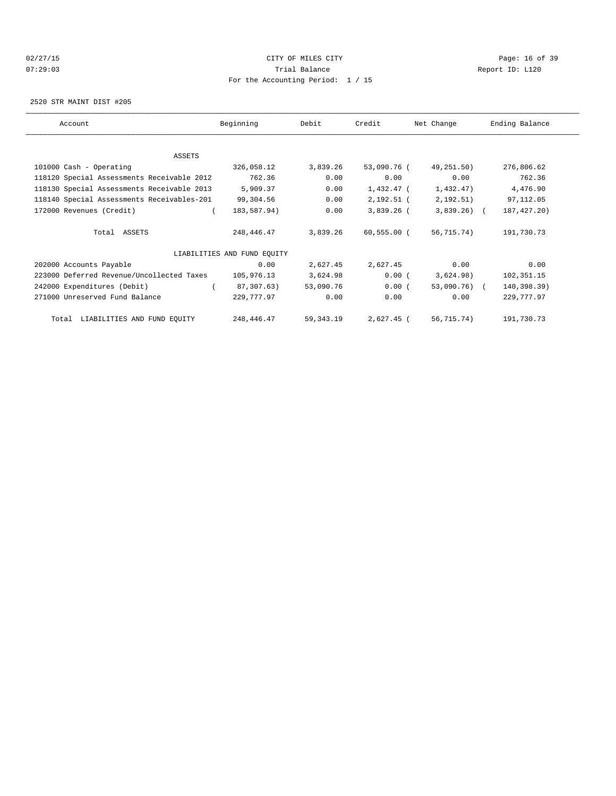## 02/27/15 **Page: 16 of 39** 07:29:03 Trial Balance Report ID: L120 For the Accounting Period: 1 / 15

2520 STR MAINT DIST #205

| Account                                    | Beginning                   | Debit       | Credit      | Net Change   | Ending Balance |
|--------------------------------------------|-----------------------------|-------------|-------------|--------------|----------------|
|                                            |                             |             |             |              |                |
| ASSETS                                     |                             |             |             |              |                |
| 101000 Cash - Operating                    | 326,058.12                  | 3,839.26    | 53,090.76 ( | 49,251.50)   | 276,806.62     |
| 118120 Special Assessments Receivable 2012 | 762.36                      | 0.00        | 0.00        | 0.00         | 762.36         |
| 118130 Special Assessments Receivable 2013 | 5,909.37                    | 0.00        | 1,432.47 (  | 1,432.47)    | 4,476.90       |
| 118140 Special Assessments Receivables-201 | 99,304.56                   | 0.00        | 2,192.51 (  | 2,192.51)    | 97,112.05      |
| 172000 Revenues (Credit)                   | 183,587.94)                 | 0.00        | 3,839.26 (  | $3,839.26$ ( | 187, 427. 20)  |
| Total ASSETS                               | 248,446.47                  | 3,839.26    | 60,555.00 ( | 56,715.74)   | 191,730.73     |
|                                            | LIABILITIES AND FUND EQUITY |             |             |              |                |
| 202000 Accounts Payable                    | 0.00                        | 2,627.45    | 2,627.45    | 0.00         | 0.00           |
| 223000 Deferred Revenue/Uncollected Taxes  | 105,976.13                  | 3,624.98    | 0.00(       | 3,624.98)    | 102,351.15     |
| 242000 Expenditures (Debit)                | 87,307.63)                  | 53,090.76   | 0.00(       | 53,090.76) ( | 140,398.39)    |
| 271000 Unreserved Fund Balance             | 229,777.97                  | 0.00        | 0.00        | 0.00         | 229,777.97     |
| Total LIABILITIES AND FUND EQUITY          | 248,446.47                  | 59, 343. 19 | 2,627.45 (  | 56,715.74)   | 191,730.73     |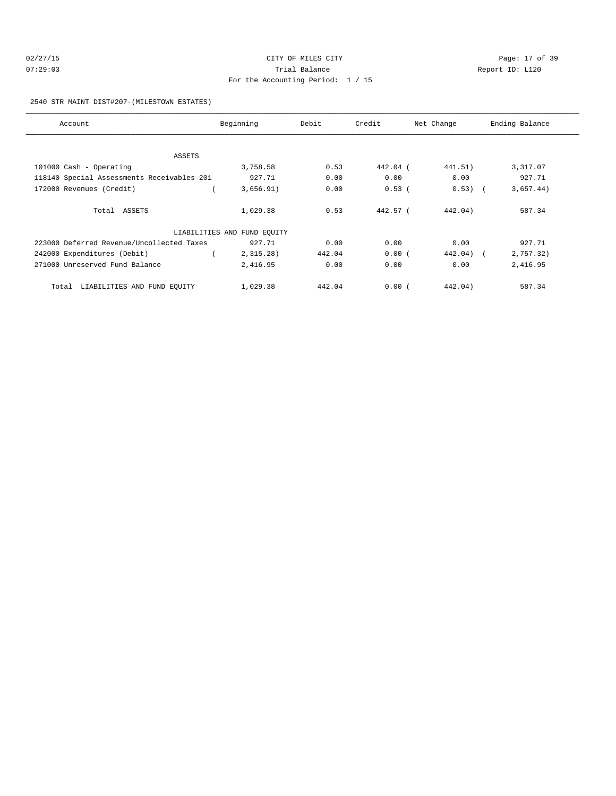| 02/27/15 | CITY OF MILES CITY                  | Page: 17 of 39  |
|----------|-------------------------------------|-----------------|
| 07:29:03 | Trial Balance                       | Report ID: L120 |
|          | For the Accounting Period: $1 / 15$ |                 |

2540 STR MAINT DIST#207-(MILESTOWN ESTATES)

| Account                                    | Beginning                   | Debit  | Credit   | Net Change | Ending Balance |
|--------------------------------------------|-----------------------------|--------|----------|------------|----------------|
|                                            |                             |        |          |            |                |
| ASSETS                                     |                             |        |          |            |                |
| 101000 Cash - Operating                    | 3,758.58                    | 0.53   | 442.04 ( | 441.51)    | 3,317.07       |
| 118140 Special Assessments Receivables-201 | 927.71                      | 0.00   | 0.00     | 0.00       | 927.71         |
| 172000 Revenues (Credit)                   | 3,656.91)                   | 0.00   | 0.53(    | $0.53)$ (  | 3,657.44)      |
| Total ASSETS                               | 1,029.38                    | 0.53   | 442.57 ( | 442.04)    | 587.34         |
|                                            | LIABILITIES AND FUND EQUITY |        |          |            |                |
| 223000 Deferred Revenue/Uncollected Taxes  | 927.71                      | 0.00   | 0.00     | 0.00       | 927.71         |
| 242000 Expenditures (Debit)                | 2,315.28)                   | 442.04 | 0.00(    | $442.04$ ( | 2,757.32)      |
| 271000 Unreserved Fund Balance             | 2,416.95                    | 0.00   | 0.00     | 0.00       | 2,416.95       |
| LIABILITIES AND FUND EQUITY<br>Total       | 1,029.38                    | 442.04 | 0.00(    | 442.04)    | 587.34         |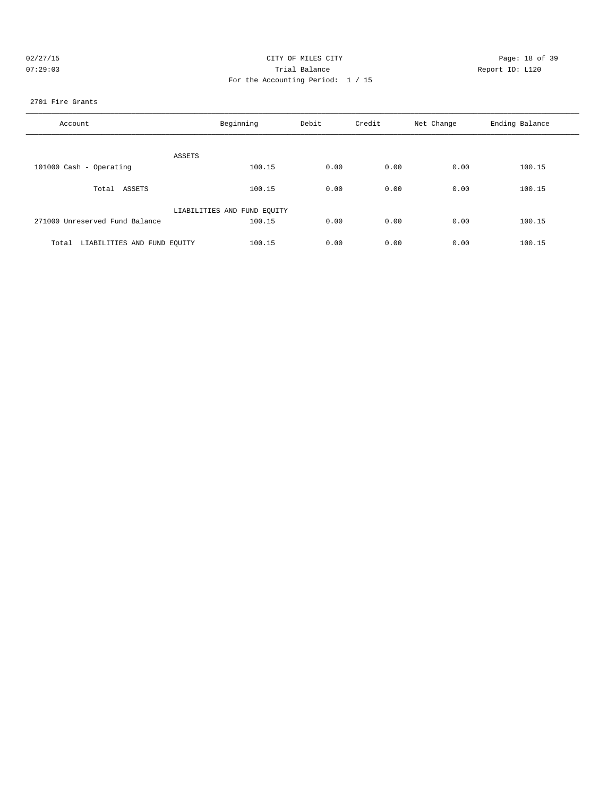| 02/27/1                |  |
|------------------------|--|
| $0.7 \cdot 29 \cdot 0$ |  |

## CITY OF MILES CITY CONTROL CONTROL CONTROL CONTROL CONTROL PAGE: 18 of 39 07:29:03 Report ID: L120 For the Accounting Period: 1 / 15

#### 2701 Fire Grants

| Account                              | Beginning                   | Debit | Credit | Net Change | Ending Balance |
|--------------------------------------|-----------------------------|-------|--------|------------|----------------|
| ASSETS                               |                             |       |        |            |                |
| 101000 Cash - Operating              | 100.15                      | 0.00  | 0.00   | 0.00       | 100.15         |
| Total ASSETS                         | 100.15                      | 0.00  | 0.00   | 0.00       | 100.15         |
|                                      | LIABILITIES AND FUND EQUITY |       |        |            |                |
| 271000 Unreserved Fund Balance       | 100.15                      | 0.00  | 0.00   | 0.00       | 100.15         |
| LIABILITIES AND FUND EOUITY<br>Total | 100.15                      | 0.00  | 0.00   | 0.00       | 100.15         |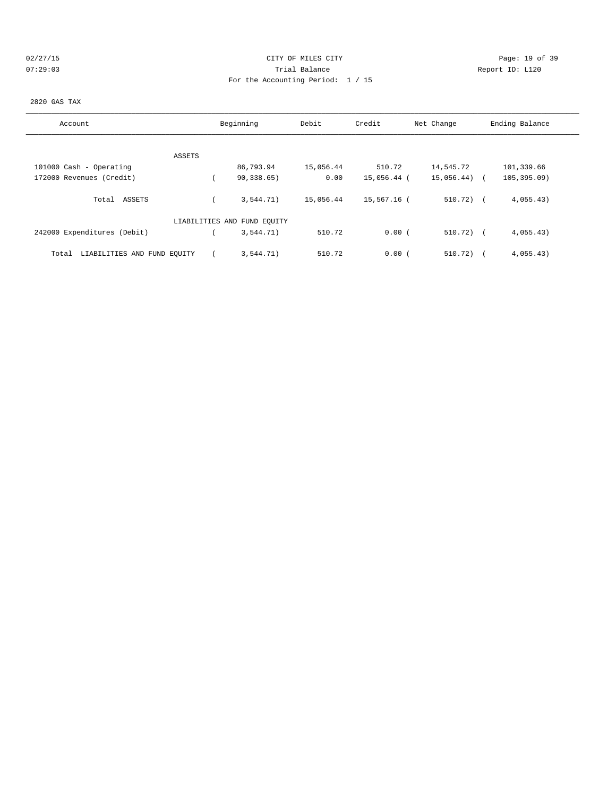## 02/27/15 **Page: 19 of 39** CITY OF MILES CITY **CITY Page: 19 of 39** 07:29:03 Trial Balance Report ID: L120 For the Accounting Period: 1 / 15

#### 2820 GAS TAX

| Account                              | Beginning                   | Debit     | Credit      | Net Change   | Ending Balance |
|--------------------------------------|-----------------------------|-----------|-------------|--------------|----------------|
|                                      |                             |           |             |              |                |
| ASSETS                               |                             |           |             |              |                |
| 101000 Cash - Operating              | 86,793.94                   | 15,056.44 | 510.72      | 14,545.72    | 101,339.66     |
| 172000 Revenues (Credit)             | 90, 338.65)                 | 0.00      | 15,056.44 ( | 15,056.44)   | 105, 395.09    |
| Total ASSETS                         | 3,544.71)                   | 15,056.44 | 15,567.16 ( | $510.72$ ) ( | 4,055.43)      |
|                                      |                             |           |             |              |                |
|                                      | LIABILITIES AND FUND EQUITY |           |             |              |                |
| 242000 Expenditures (Debit)          | 3,544.71)                   | 510.72    | 0.00(       | $510.72$ ) ( | 4,055.43)      |
| LIABILITIES AND FUND EQUITY<br>Total | 3.544.71)                   | 510.72    | 0.00(       | 510.72)      | 4,055.43)      |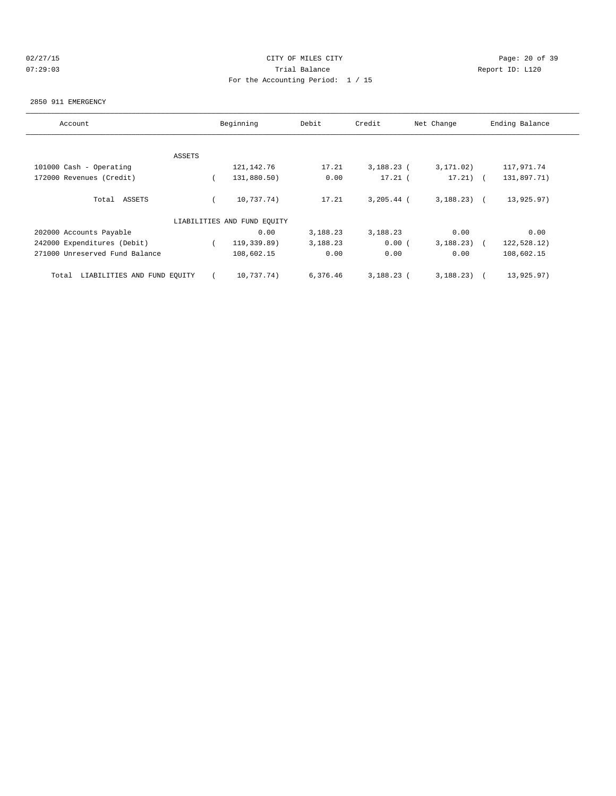## 02/27/15 **Page: 20 of 39** 07:29:03 Trial Balance Report ID: L120 For the Accounting Period: 1 / 15

#### 2850 911 EMERGENCY

| Account                              | Beginning |                             | Debit    | Credit<br>Net Change |              | Ending Balance |
|--------------------------------------|-----------|-----------------------------|----------|----------------------|--------------|----------------|
|                                      |           |                             |          |                      |              |                |
|                                      | ASSETS    |                             |          |                      |              |                |
| 101000 Cash - Operating              |           | 121, 142. 76                | 17.21    | $3,188.23$ (         | 3, 171, 02)  | 117,971.74     |
| 172000 Revenues (Credit)             |           | 131,880.50)                 | 0.00     | $17.21$ (            | $17.21)$ (   | 131,897.71)    |
| Total ASSETS                         |           | 10,737.74)                  | 17.21    | $3, 205.44$ (        | $3,188.23$ ( | 13,925.97)     |
|                                      |           | LIABILITIES AND FUND EOUITY |          |                      |              |                |
| 202000 Accounts Payable              |           | 0.00                        | 3,188.23 | 3,188.23             | 0.00         | 0.00           |
| 242000 Expenditures (Debit)          |           | 119,339.89)                 | 3,188.23 | 0.00(                | 3,188.23)    | 122,528.12)    |
| 271000 Unreserved Fund Balance       |           | 108,602.15                  | 0.00     | 0.00                 | 0.00         | 108,602.15     |
| LIABILITIES AND FUND EQUITY<br>Total |           | 10,737.74)                  | 6,376.46 | $3,188.23$ (         | 3,188.23)    | 13,925.97)     |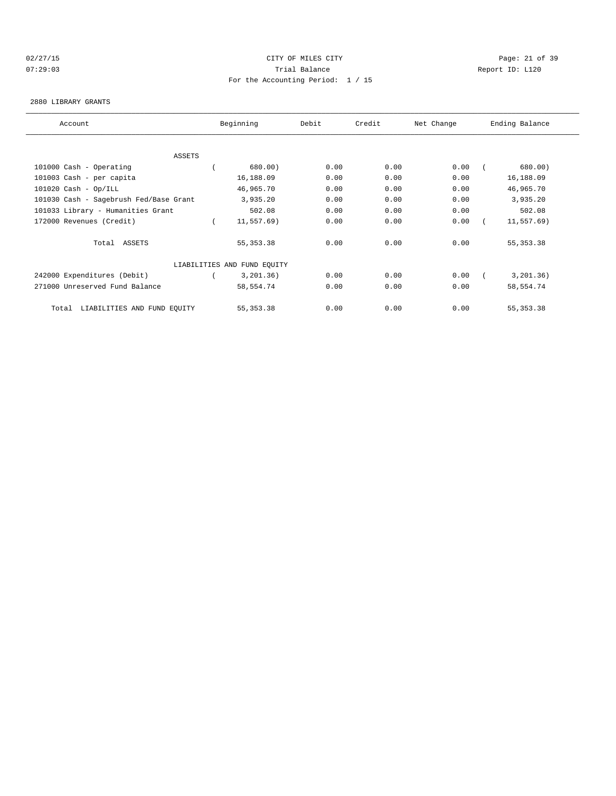## 02/27/15 **Page: 21 of 39** CITY OF MILES CITY **CITY Page: 21 of 39** 07:29:03 Trial Balance Report ID: L120 For the Accounting Period: 1 / 15

#### 2880 LIBRARY GRANTS

| Account                                |  | Beginning<br>Debit<br>Credit |      | Net Change | Ending Balance |  |             |  |
|----------------------------------------|--|------------------------------|------|------------|----------------|--|-------------|--|
|                                        |  |                              |      |            |                |  |             |  |
| ASSETS                                 |  |                              |      |            |                |  |             |  |
| 101000 Cash - Operating                |  | 680.00)                      | 0.00 | 0.00       | 0.00           |  | 680.00)     |  |
| 101003 Cash - per capita               |  | 16,188.09                    | 0.00 | 0.00       | 0.00           |  | 16,188.09   |  |
| $101020$ Cash - Op/ILL                 |  | 46,965.70                    | 0.00 | 0.00       | 0.00           |  | 46,965.70   |  |
| 101030 Cash - Sagebrush Fed/Base Grant |  | 3,935.20                     | 0.00 | 0.00       | 0.00           |  | 3,935.20    |  |
| 101033 Library - Humanities Grant      |  | 502.08                       | 0.00 | 0.00       | 0.00           |  | 502.08      |  |
| 172000 Revenues (Credit)               |  | 11,557.69)                   | 0.00 | 0.00       | 0.00           |  | 11,557.69)  |  |
| Total ASSETS                           |  | 55, 353. 38                  | 0.00 | 0.00       | 0.00           |  | 55, 353. 38 |  |
|                                        |  | LIABILITIES AND FUND EQUITY  |      |            |                |  |             |  |
| 242000 Expenditures (Debit)            |  | 3,201.36)                    | 0.00 | 0.00       | 0.00           |  | 3, 201.36)  |  |
| 271000 Unreserved Fund Balance         |  | 58,554.74                    | 0.00 | 0.00       | 0.00           |  | 58,554.74   |  |
| LIABILITIES AND FUND EQUITY<br>Total   |  | 55, 353. 38                  | 0.00 | 0.00       | 0.00           |  | 55, 353. 38 |  |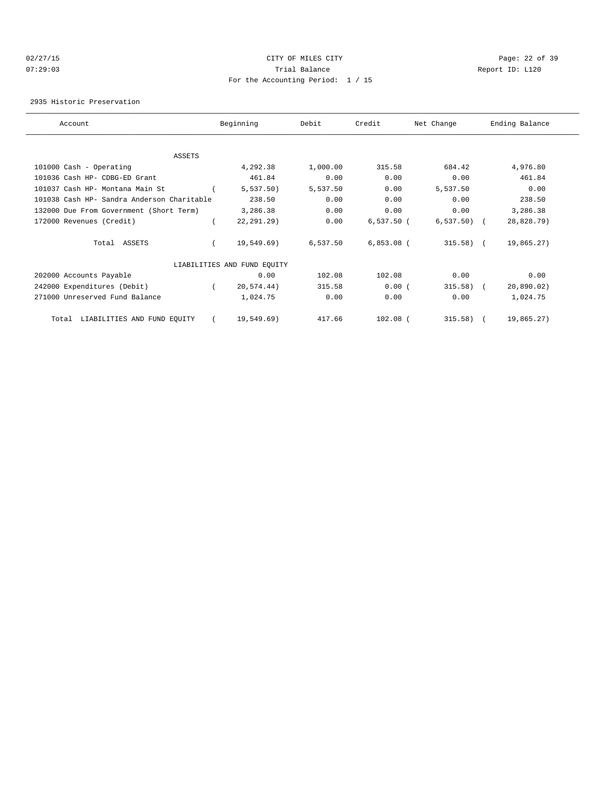#### 02/27/15 **Page: 22 of 39** 07:29:03 Trial Balance Report ID: L120 For the Accounting Period: 1 / 15

2935 Historic Preservation

| Account |                                            | Beginning<br>Debit          |          | Credit<br>Net Change |              | Ending Balance |            |  |
|---------|--------------------------------------------|-----------------------------|----------|----------------------|--------------|----------------|------------|--|
|         |                                            |                             |          |                      |              |                |            |  |
|         | <b>ASSETS</b>                              |                             |          |                      |              |                |            |  |
|         | 101000 Cash - Operating                    | 4,292.38                    | 1,000.00 | 315.58               | 684.42       |                | 4,976.80   |  |
|         | 101036 Cash HP- CDBG-ED Grant              | 461.84                      | 0.00     | 0.00                 | 0.00         |                | 461.84     |  |
|         | 101037 Cash HP- Montana Main St            | 5,537.50                    | 5,537.50 | 0.00                 | 5,537.50     |                | 0.00       |  |
|         | 101038 Cash HP- Sandra Anderson Charitable | 238.50                      | 0.00     | 0.00                 | 0.00         |                | 238.50     |  |
|         | 132000 Due From Government (Short Term)    | 3,286.38                    | 0.00     | 0.00                 | 0.00         |                | 3,286.38   |  |
|         | 172000 Revenues (Credit)                   | $22, 291.29$ )              | 0.00     | $6,537.50$ (         | $6,537.50$ ( |                | 28,828.79) |  |
|         | Total ASSETS                               | 19,549.69)                  | 6,537.50 | $6,853.08$ (         | $315.58$ (   |                | 19,865.27) |  |
|         |                                            | LIABILITIES AND FUND EQUITY |          |                      |              |                |            |  |
|         | 202000 Accounts Payable                    | 0.00                        | 102.08   | 102.08               | 0.00         |                | 0.00       |  |
|         | 242000 Expenditures (Debit)                | 20,574.44)                  | 315.58   | 0.00(                | 315.58)      | $\sqrt{2}$     | 20,890.02) |  |
|         | 271000 Unreserved Fund Balance             | 1,024.75                    | 0.00     | 0.00                 | 0.00         |                | 1,024.75   |  |
|         | LIABILITIES AND FUND EQUITY<br>Total       | 19,549.69)                  | 417.66   | $102.08$ (           | 315.58)      |                | 19,865.27) |  |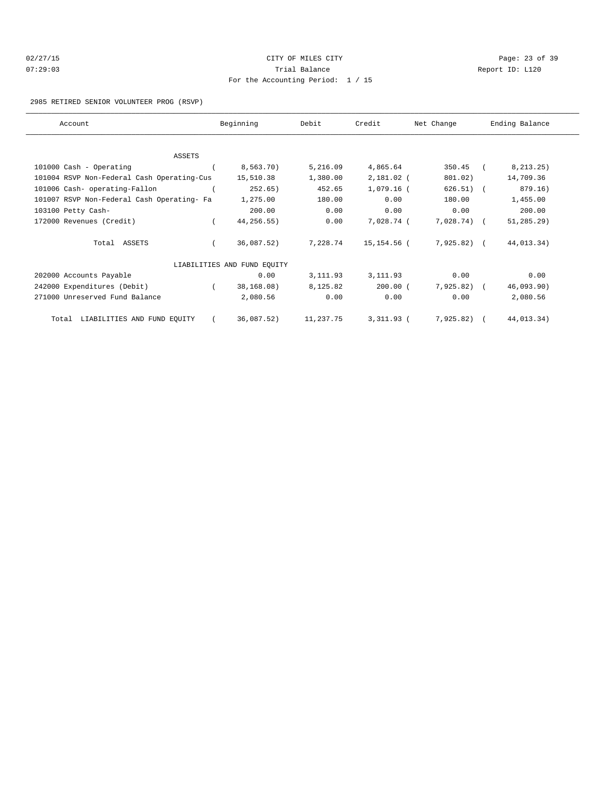| 02/27/15 |  |
|----------|--|
| 07:29:03 |  |

## CITY OF MILES CITY CONTROL CONTROL CONTROL CONTROL CONTROL PAGE: 23 of 39 Trial Balance **Communist Communist Communist Communist Communist Communist Communist Communist Communist Communist Communist Communist Communist Communist Communist Communist Communist Communist Communist Communist Communi** For the Accounting Period: 1 / 15

#### 2985 RETIRED SENIOR VOLUNTEER PROG (RSVP)

| Account                                    |            | Beginning                   | Debit     | Credit       | Net Change   | Ending Balance |  |
|--------------------------------------------|------------|-----------------------------|-----------|--------------|--------------|----------------|--|
|                                            |            |                             |           |              |              |                |  |
| <b>ASSETS</b>                              |            |                             |           |              |              |                |  |
| 101000 Cash - Operating                    |            | 8,563.70)                   | 5,216.09  | 4,865.64     | 350.45       | 8, 213.25)     |  |
| 101004 RSVP Non-Federal Cash Operating-Cus |            | 15,510.38                   | 1,380.00  | 2,181.02 (   | 801.02)      | 14,709.36      |  |
| 101006 Cash- operating-Fallon              |            | 252.65)                     | 452.65    | 1,079.16 (   | $626.51)$ (  | 879.16)        |  |
| 101007 RSVP Non-Federal Cash Operating- Fa |            | 1,275.00                    | 180.00    | 0.00         | 180.00       | 1,455.00       |  |
| 103100 Petty Cash-                         |            | 200.00                      | 0.00      | 0.00         | 0.00         | 200.00         |  |
| 172000 Revenues (Credit)                   |            | 44,256.55)                  | 0.00      | 7,028.74 (   | $7,028.74$ ( | $51, 285.29$ ) |  |
| Total ASSETS                               |            | 36,087.52)                  | 7,228.74  | 15,154.56 (  | 7,925.82) (  | 44,013.34)     |  |
|                                            |            | LIABILITIES AND FUND EQUITY |           |              |              |                |  |
| 202000 Accounts Payable                    |            | 0.00                        | 3,111.93  | 3,111.93     | 0.00         | 0.00           |  |
| 242000 Expenditures (Debit)                | $\sqrt{2}$ | 38,168.08)                  | 8,125.82  | $200.00$ (   | $7,925.82$ ( | 46,093.90)     |  |
| 271000 Unreserved Fund Balance             |            | 2,080.56                    | 0.00      | 0.00         | 0.00         | 2,080.56       |  |
| LIABILITIES AND FUND EQUITY<br>Total       |            | 36,087.52)                  | 11,237.75 | $3,311.93$ ( | 7,925.82)    | 44,013.34)     |  |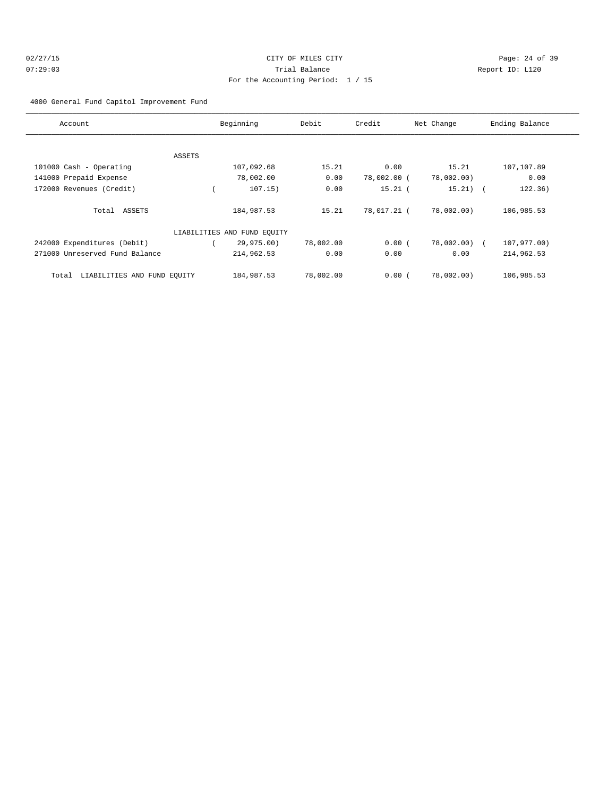## 02/27/15 **Page: 24 of 39** 07:29:03 Trial Balance Report ID: L120 For the Accounting Period: 1 / 15

4000 General Fund Capitol Improvement Fund

| Account                              |        | Beginning                   | Debit     | Credit      | Net Change | Ending Balance |
|--------------------------------------|--------|-----------------------------|-----------|-------------|------------|----------------|
|                                      |        |                             |           |             |            |                |
|                                      | ASSETS |                             |           |             |            |                |
| 101000 Cash - Operating              |        | 107,092.68                  | 15.21     | 0.00        | 15.21      | 107,107.89     |
| 141000 Prepaid Expense               |        | 78,002.00                   | 0.00      | 78,002.00 ( | 78,002.00) | 0.00           |
| 172000 Revenues (Credit)             |        | 107.15)                     | 0.00      | $15.21$ (   | $15.21)$ ( | 122.36)        |
| Total ASSETS                         |        | 184,987.53                  | 15.21     | 78,017.21 ( | 78,002.00) | 106,985.53     |
|                                      |        | LIABILITIES AND FUND EQUITY |           |             |            |                |
| 242000 Expenditures (Debit)          |        | 29,975.00)                  | 78,002.00 | 0.00(       | 78,002.00) | 107,977.00)    |
| 271000 Unreserved Fund Balance       |        | 214,962.53                  | 0.00      | 0.00        | 0.00       | 214,962.53     |
| LIABILITIES AND FUND EQUITY<br>Total |        | 184,987.53                  | 78,002.00 | 0.00(       | 78,002.00) | 106,985.53     |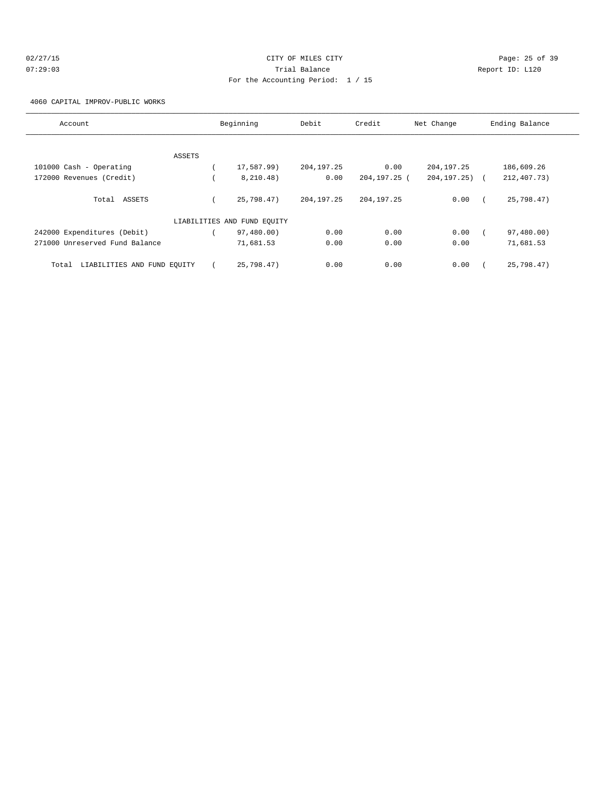| 02/27/15 | CITY OF MILES CITY                  | Page: 25 of 39  |
|----------|-------------------------------------|-----------------|
| 07:29:03 | Trial Balance                       | Report ID: L120 |
|          | For the Accounting Period: $1 / 15$ |                 |

4060 CAPITAL IMPROV-PUBLIC WORKS

| Account                              | Beginning                   | Debit        | Credit       | Net Change         | Ending Balance |
|--------------------------------------|-----------------------------|--------------|--------------|--------------------|----------------|
|                                      |                             |              |              |                    |                |
| ASSETS                               |                             |              |              |                    |                |
| 101000 Cash - Operating              | 17,587.99)                  | 204, 197. 25 | 0.00         | 204, 197. 25       | 186,609.26     |
| 172000 Revenues (Credit)             | 8,210.48)                   | 0.00         | 204,197.25 ( | $204, 197, 25$ ) ( | 212, 407. 73)  |
| Total ASSETS                         | 25,798.47)                  | 204, 197. 25 | 204, 197. 25 | 0.00               | 25,798.47)     |
|                                      | LIABILITIES AND FUND EQUITY |              |              |                    |                |
| 242000 Expenditures (Debit)          | 97,480.00)                  | 0.00         | 0.00         | 0.00               | 97,480.00)     |
| 271000 Unreserved Fund Balance       | 71,681.53                   | 0.00         | 0.00         | 0.00               | 71,681.53      |
| LIABILITIES AND FUND EQUITY<br>Total | 25.798.47                   | 0.00         | 0.00         | 0.00               | 25,798.47)     |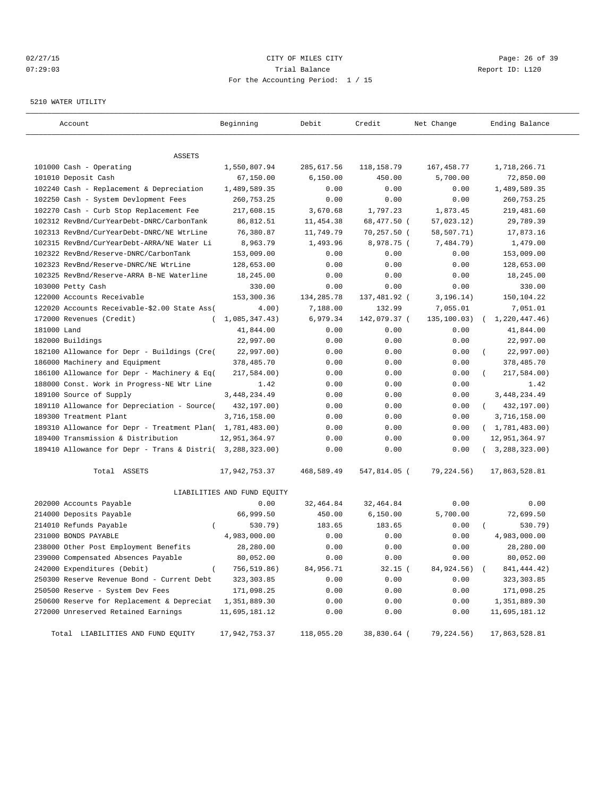## 02/27/15 **Page: 26 of 39** CITY OF MILES CITY **CITY Page: 26 of 39** 07:29:03 Trial Balance Report ID: L120 For the Accounting Period: 1 / 15

#### 5210 WATER UTILITY

| Account                                                   | Beginning                   | Debit      | Credit       | Net Change   | Ending Balance          |
|-----------------------------------------------------------|-----------------------------|------------|--------------|--------------|-------------------------|
|                                                           |                             |            |              |              |                         |
| ASSETS                                                    |                             |            |              |              |                         |
| 101000 Cash - Operating                                   | 1,550,807.94                | 285,617.56 | 118,158.79   | 167,458.77   | 1,718,266.71            |
| 101010 Deposit Cash                                       | 67,150.00                   | 6,150.00   | 450.00       | 5,700.00     | 72,850.00               |
| 102240 Cash - Replacement & Depreciation                  | 1,489,589.35                | 0.00       | 0.00         | 0.00         | 1,489,589.35            |
| 102250 Cash - System Devlopment Fees                      | 260,753.25                  | 0.00       | 0.00         | 0.00         | 260,753.25              |
| 102270 Cash - Curb Stop Replacement Fee                   | 217,608.15                  | 3,670.68   | 1,797.23     | 1,873.45     | 219,481.60              |
| 102312 RevBnd/CurYearDebt-DNRC/CarbonTank                 | 86,812.51                   | 11,454.38  | 68,477.50 (  | 57,023.12)   | 29,789.39               |
| 102313 RevBnd/CurYearDebt-DNRC/NE WtrLine                 | 76,380.87                   | 11,749.79  | 70,257.50 (  | 58,507.71)   | 17,873.16               |
| 102315 RevBnd/CurYearDebt-ARRA/NE Water Li                | 8,963.79                    | 1,493.96   | 8,978.75 (   | 7,484.79)    | 1,479.00                |
| 102322 RevBnd/Reserve-DNRC/CarbonTank                     | 153,009.00                  | 0.00       | 0.00         | 0.00         | 153,009.00              |
| 102323 RevBnd/Reserve-DNRC/NE WtrLine                     | 128,653.00                  | 0.00       | 0.00         | 0.00         | 128,653.00              |
| 102325 RevBnd/Reserve-ARRA B-NE Waterline                 | 18,245.00                   | 0.00       | 0.00         | 0.00         | 18,245.00               |
| 103000 Petty Cash                                         | 330.00                      | 0.00       | 0.00         | 0.00         | 330.00                  |
| 122000 Accounts Receivable                                | 153,300.36                  | 134,285.78 | 137,481.92 ( | 3, 196.14)   | 150,104.22              |
| 122020 Accounts Receivable-\$2.00 State Ass(              | 4.00)                       | 7,188.00   | 132.99       | 7,055.01     | 7,051.01                |
| 172000 Revenues (Credit)                                  | 1,085,347.43)               | 6,979.34   | 142,079.37 ( | 135,100.03)  | 1,220,447.46)           |
| 181000 Land                                               | 41,844.00                   | 0.00       | 0.00         | 0.00         | 41,844.00               |
| 182000 Buildings                                          | 22,997.00                   | 0.00       | 0.00         | 0.00         | 22,997.00               |
| 182100 Allowance for Depr - Buildings (Cre(               | 22,997.00)                  | 0.00       | 0.00         | 0.00         | 22,997.00)              |
| 186000 Machinery and Equipment                            | 378,485.70                  | 0.00       | 0.00         | 0.00         | 378,485.70              |
| 186100 Allowance for Depr - Machinery & Eq(               | 217,584.00)                 | 0.00       | 0.00         | 0.00         | 217,584.00)             |
| 188000 Const. Work in Progress-NE Wtr Line                | 1.42                        | 0.00       | 0.00         | 0.00         | 1.42                    |
| 189100 Source of Supply                                   | 3, 448, 234.49              | 0.00       | 0.00         | 0.00         | 3, 448, 234.49          |
| 189110 Allowance for Depreciation - Source(               | 432,197.00)                 | 0.00       | 0.00         | 0.00         | 432,197.00)<br>$\left($ |
| 189300 Treatment Plant                                    | 3,716,158.00                | 0.00       | 0.00         | 0.00         | 3,716,158.00            |
| 189310 Allowance for Depr - Treatment Plan( 1,781,483.00) |                             | 0.00       | 0.00         | 0.00         | (1, 781, 483.00)        |
| 189400 Transmission & Distribution                        | 12,951,364.97               | 0.00       | 0.00         | 0.00         | 12,951,364.97           |
| 189410 Allowance for Depr - Trans & Distri( 3,288,323.00) |                             | 0.00       | 0.00         | 0.00         | (3, 288, 323.00)        |
| Total ASSETS                                              | 17,942,753.37               | 468,589.49 | 547,814.05 ( | 79,224.56)   | 17,863,528.81           |
|                                                           | LIABILITIES AND FUND EQUITY |            |              |              |                         |
| 202000 Accounts Payable                                   | 0.00                        | 32,464.84  | 32, 464.84   | 0.00         | 0.00                    |
| 214000 Deposits Payable                                   | 66,999.50                   | 450.00     | 6,150.00     | 5,700.00     | 72,699.50               |
| 214010 Refunds Payable<br>$\left($                        | 530.79)                     | 183.65     | 183.65       | 0.00         | 530.79)                 |
| 231000 BONDS PAYABLE                                      | 4,983,000.00                | 0.00       | 0.00         | 0.00         | 4,983,000.00            |
| 238000 Other Post Employment Benefits                     | 28,280.00                   | 0.00       | 0.00         | 0.00         | 28,280.00               |
| 239000 Compensated Absences Payable                       | 80,052.00                   | 0.00       | 0.00         | 0.00         | 80,052.00               |
| 242000 Expenditures (Debit)<br>$\left($                   | 756,519.86)                 | 84,956.71  | 32.15 (      | 84,924.56) ( | 841, 444.42)            |
| 250300 Reserve Revenue Bond - Current Debt                | 323, 303.85                 | 0.00       | 0.00         | 0.00         | 323, 303.85             |
| 250500 Reserve - System Dev Fees                          | 171,098.25                  | 0.00       | 0.00         | 0.00         | 171,098.25              |
| 250600 Reserve for Replacement & Depreciat                | 1,351,889.30                | 0.00       | 0.00         | 0.00         | 1,351,889.30            |
| 272000 Unreserved Retained Earnings                       | 11,695,181.12               | 0.00       | 0.00         | 0.00         | 11,695,181.12           |
| Total LIABILITIES AND FUND EQUITY                         | 17,942,753.37               | 118,055.20 | 38,830.64 (  | 79,224.56)   | 17,863,528.81           |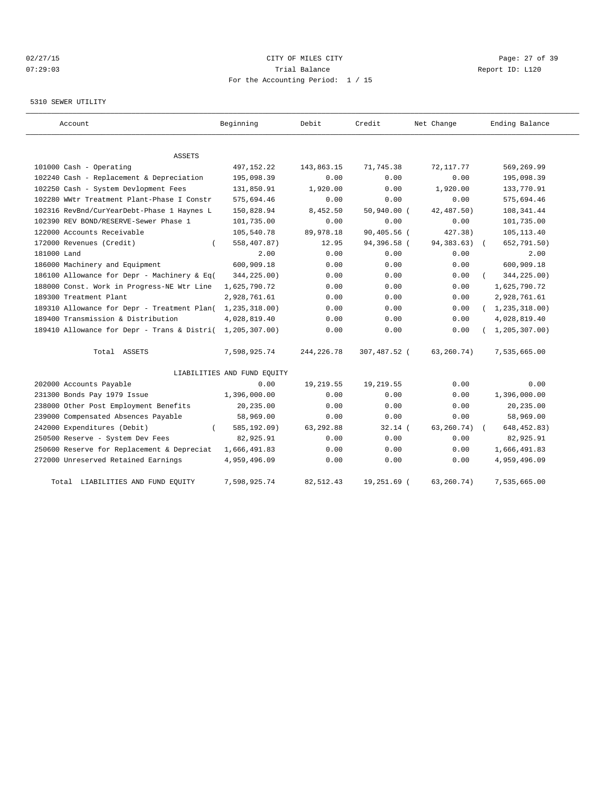## 02/27/15 **Page: 27 of 39** CITY OF MILES CITY **CITY Page: 27 of 39** 07:29:03 Trial Balance Report ID: L120 For the Accounting Period: 1 / 15

#### 5310 SEWER UTILITY

| Account                                     | Beginning                   | Debit        | Credit       | Net Change   | Ending Balance   |
|---------------------------------------------|-----------------------------|--------------|--------------|--------------|------------------|
|                                             |                             |              |              |              |                  |
| ASSETS                                      |                             |              |              |              |                  |
| 101000 Cash - Operating                     | 497, 152. 22                | 143,863.15   | 71,745.38    | 72, 117.77   | 569,269.99       |
| 102240 Cash - Replacement & Depreciation    | 195,098.39                  | 0.00         | 0.00         | 0.00         | 195,098.39       |
| 102250 Cash - System Devlopment Fees        | 131,850.91                  | 1,920.00     | 0.00         | 1,920.00     | 133,770.91       |
| 102280 WWtr Treatment Plant-Phase I Constr  | 575,694.46                  | 0.00         | 0.00         | 0.00         | 575,694.46       |
| 102316 RevBnd/CurYearDebt-Phase 1 Haynes L  | 150,828.94                  | 8,452.50     | 50,940.00 (  | 42,487.50)   | 108, 341.44      |
| 102390 REV BOND/RESERVE-Sewer Phase 1       | 101,735.00                  | 0.00         | 0.00         | 0.00         | 101,735.00       |
| 122000 Accounts Receivable                  | 105,540.78                  | 89,978.18    | 90,405.56 (  | 427.38)      | 105, 113.40      |
| 172000 Revenues (Credit)                    | 558,407.87)                 | 12.95        | 94,396.58 (  | 94, 383. 63) | 652,791.50)      |
| 181000 Land                                 | 2.00                        | 0.00         | 0.00         | 0.00         | 2.00             |
| 186000 Machinery and Equipment              | 600,909.18                  | 0.00         | 0.00         | 0.00         | 600,909.18       |
| 186100 Allowance for Depr - Machinery & Eq( | 344,225.00)                 | 0.00         | 0.00         | 0.00         | 344,225.00)      |
| 188000 Const. Work in Progress-NE Wtr Line  | 1,625,790.72                | 0.00         | 0.00         | 0.00         | 1,625,790.72     |
| 189300 Treatment Plant                      | 2,928,761.61                | 0.00         | 0.00         | 0.00         | 2,928,761.61     |
| 189310 Allowance for Depr - Treatment Plan( | 1,235,318.00)               | 0.00         | 0.00         | 0.00         | (1, 235, 318.00) |
| 189400 Transmission & Distribution          | 4,028,819.40                | 0.00         | 0.00         | 0.00         | 4,028,819.40     |
| 189410 Allowance for Depr - Trans & Distri( | 1,205,307.00)               | 0.00         | 0.00         | 0.00         | 1, 205, 307.00   |
| Total ASSETS                                | 7,598,925.74                | 244, 226. 78 | 307,487.52 ( | 63,260.74)   | 7,535,665.00     |
|                                             | LIABILITIES AND FUND EQUITY |              |              |              |                  |
| 202000 Accounts Payable                     | 0.00                        | 19,219.55    | 19,219.55    | 0.00         | 0.00             |
| 231300 Bonds Pay 1979 Issue                 | 1,396,000.00                | 0.00         | 0.00         | 0.00         | 1,396,000.00     |
| 238000 Other Post Employment Benefits       | 20,235.00                   | 0.00         | 0.00         | 0.00         | 20,235.00        |
| 239000 Compensated Absences Payable         | 58,969.00                   | 0.00         | 0.00         | 0.00         | 58,969.00        |
| 242000 Expenditures (Debit)                 | 585,192.09)                 | 63,292.88    | 32.14(       | 63, 260. 74) | 648, 452.83)     |
| 250500 Reserve - System Dev Fees            | 82,925.91                   | 0.00         | 0.00         | 0.00         | 82,925.91        |
| 250600 Reserve for Replacement & Depreciat  | 1,666,491.83                | 0.00         | 0.00         | 0.00         | 1,666,491.83     |
| 272000 Unreserved Retained Earnings         | 4,959,496.09                | 0.00         | 0.00         | 0.00         | 4,959,496.09     |
| LIABILITIES AND FUND EQUITY<br>Total        | 7,598,925.74                | 82,512.43    | 19,251.69 (  | 63, 260. 74) | 7,535,665.00     |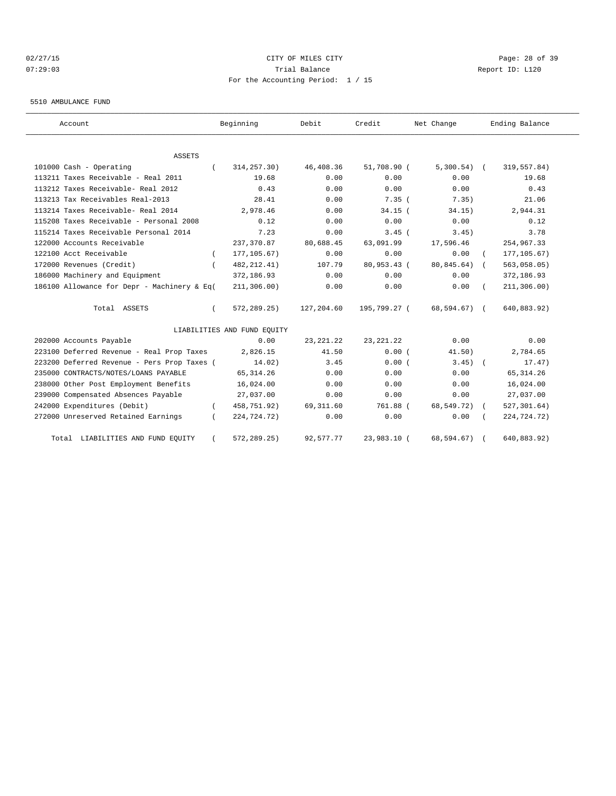## 02/27/15 **Page: 28 of 39** CITY OF MILES CITY **CITY Page: 28 of 39** 07:29:03 Trial Balance Report ID: L120 For the Accounting Period: 1 / 15

#### 5510 AMBULANCE FUND

| Account                                     | Beginning                   | Debit       | Credit       | Net Change    | Ending Balance            |
|---------------------------------------------|-----------------------------|-------------|--------------|---------------|---------------------------|
| <b>ASSETS</b>                               |                             |             |              |               |                           |
| 101000 Cash - Operating                     | 314, 257.30)                | 46,408.36   | 51,708.90 (  | $5,300.54)$ ( | 319,557.84)               |
| 113211 Taxes Receivable - Real 2011         | 19.68                       | 0.00        | 0.00         | 0.00          | 19.68                     |
| 113212 Taxes Receivable- Real 2012          | 0.43                        | 0.00        | 0.00         | 0.00          | 0.43                      |
| 113213 Tax Receivables Real-2013            | 28.41                       | 0.00        | 7.35(        | 7.35)         | 21.06                     |
| 113214 Taxes Receivable- Real 2014          | 2,978.46                    | 0.00        | $34.15$ (    | 34.15)        | 2,944.31                  |
| 115208 Taxes Receivable - Personal 2008     | 0.12                        | 0.00        | 0.00         | 0.00          | 0.12                      |
| 115214 Taxes Receivable Personal 2014       | 7.23                        | 0.00        | $3.45$ (     | 3.45)         | 3.78                      |
| 122000 Accounts Receivable                  | 237,370.87                  | 80,688.45   | 63,091.99    | 17,596.46     | 254,967.33                |
| 122100 Acct Receivable                      | 177, 105.67)                | 0.00        | 0.00         | 0.00          | 177, 105.67)              |
| 172000 Revenues (Credit)                    | 482, 212.41)                | 107.79      | 80,953.43 (  | 80,845.64)    | 563,058.05)<br>$\sqrt{2}$ |
| 186000 Machinery and Equipment              | 372,186.93                  | 0.00        | 0.00         | 0.00          | 372,186.93                |
| 186100 Allowance for Depr - Machinery & Eq( | 211, 306.00)                | 0.00        | 0.00         | 0.00          | 211, 306.00)              |
| Total ASSETS                                | 572,289.25)                 | 127,204.60  | 195,799.27 ( | 68,594.67) (  | 640,883.92)               |
|                                             | LIABILITIES AND FUND EQUITY |             |              |               |                           |
| 202000 Accounts Payable                     | 0.00                        | 23, 221. 22 | 23, 221. 22  | 0.00          | 0.00                      |
| 223100 Deferred Revenue - Real Prop Taxes   | 2,826.15                    | 41.50       | 0.00(        | 41.50)        | 2,784.65                  |
| 223200 Deferred Revenue - Pers Prop Taxes ( | 14.02)                      | 3.45        | 0.00(        | $3.45$ (      | 17.47)                    |
| 235000 CONTRACTS/NOTES/LOANS PAYABLE        | 65, 314.26                  | 0.00        | 0.00         | 0.00          | 65, 314.26                |
| 238000 Other Post Employment Benefits       | 16,024.00                   | 0.00        | 0.00         | 0.00          | 16,024.00                 |
| 239000 Compensated Absences Payable         | 27,037.00                   | 0.00        | 0.00         | 0.00          | 27,037.00                 |
| 242000 Expenditures (Debit)                 | 458,751.92)                 | 69, 311.60  | 761.88 (     | 68,549.72)    | 527, 301.64)              |
| 272000 Unreserved Retained Earnings         | 224,724.72)                 | 0.00        | 0.00         | 0.00          | 224,724.72)               |
| LIABILITIES AND FUND EQUITY<br>Total        | 572,289.25)                 | 92,577.77   | 23,983.10 (  | 68,594.67)    | 640,883.92)               |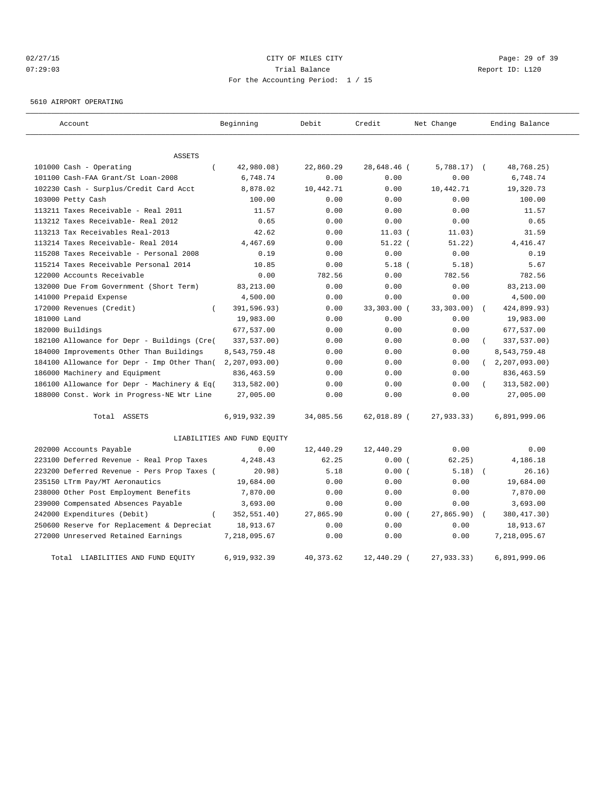## 02/27/15 **Page: 29 of 39** CITY OF MILES CITY **CITY Page: 29 of 39** 07:29:03 Trial Balance Report ID: L120 For the Accounting Period: 1 / 15

5610 AIRPORT OPERATING

| Account                                     | Beginning                   | Debit      | Credit        | Net Change   | Ending Balance |
|---------------------------------------------|-----------------------------|------------|---------------|--------------|----------------|
| <b>ASSETS</b>                               |                             |            |               |              |                |
| 101000 Cash - Operating                     | 42,980.08)                  | 22,860.29  | 28,648.46 (   | $5,788.17$ ( | 48,768.25)     |
| 101100 Cash-FAA Grant/St Loan-2008          | 6,748.74                    | 0.00       | 0.00          | 0.00         | 6,748.74       |
| 102230 Cash - Surplus/Credit Card Acct      | 8,878.02                    | 10,442.71  | 0.00          | 10,442.71    | 19,320.73      |
| 103000 Petty Cash                           | 100.00                      | 0.00       | 0.00          | 0.00         | 100.00         |
| 113211 Taxes Receivable - Real 2011         | 11.57                       | 0.00       | 0.00          | 0.00         | 11.57          |
| 113212 Taxes Receivable- Real 2012          | 0.65                        | 0.00       | 0.00          | 0.00         | 0.65           |
| 113213 Tax Receivables Real-2013            | 42.62                       | 0.00       | $11.03$ (     | 11.03)       | 31.59          |
| 113214 Taxes Receivable- Real 2014          | 4,467.69                    | 0.00       | $51.22$ (     | 51.22)       | 4, 416.47      |
| 115208 Taxes Receivable - Personal 2008     | 0.19                        | 0.00       | 0.00          | 0.00         | 0.19           |
| 115214 Taxes Receivable Personal 2014       | 10.85                       | 0.00       | $5.18$ (      | 5.18)        | 5.67           |
| 122000 Accounts Receivable                  | 0.00                        | 782.56     | 0.00          | 782.56       | 782.56         |
| 132000 Due From Government (Short Term)     | 83,213.00                   | 0.00       | 0.00          | 0.00         | 83, 213.00     |
| 141000 Prepaid Expense                      | 4,500.00                    | 0.00       | 0.00          | 0.00         | 4,500.00       |
| 172000 Revenues (Credit)<br>$\left($        | 391,596.93)                 | 0.00       | 33,303.00 (   | 33,303.00)   | 424,899.93)    |
| 181000 Land                                 | 19,983.00                   | 0.00       | 0.00          | 0.00         | 19,983.00      |
| 182000 Buildings                            | 677,537.00                  | 0.00       | 0.00          | 0.00         | 677,537.00     |
| 182100 Allowance for Depr - Buildings (Cre( | 337,537.00)                 | 0.00       | 0.00          | 0.00         | 337,537.00)    |
| 184000 Improvements Other Than Buildings    | 8,543,759.48                | 0.00       | 0.00          | 0.00         | 8,543,759.48   |
| 184100 Allowance for Depr - Imp Other Than( | 2, 207, 093.00              | 0.00       | 0.00          | 0.00         | 2, 207, 093.00 |
| 186000 Machinery and Equipment              | 836, 463.59                 | 0.00       | 0.00          | 0.00         | 836, 463.59    |
| 186100 Allowance for Depr - Machinery & Eq( | 313,582.00)                 | 0.00       | 0.00          | 0.00         | 313,582.00)    |
| 188000 Const. Work in Progress-NE Wtr Line  | 27,005.00                   | 0.00       | 0.00          | 0.00         | 27,005.00      |
| Total ASSETS                                | 6,919,932.39                | 34,085.56  | $62,018.89$ ( | 27,933.33)   | 6,891,999.06   |
|                                             | LIABILITIES AND FUND EQUITY |            |               |              |                |
| 202000 Accounts Payable                     | 0.00                        | 12,440.29  | 12,440.29     | 0.00         | 0.00           |
| 223100 Deferred Revenue - Real Prop Taxes   | 4,248.43                    | 62.25      | 0.00(         | 62, 25)      | 4,186.18       |
| 223200 Deferred Revenue - Pers Prop Taxes ( | 20.98)                      | 5.18       | 0.00(         | 5.18)        | 26.16)         |
| 235150 LTrm Pay/MT Aeronautics              | 19,684.00                   | 0.00       | 0.00          | 0.00         | 19,684.00      |
| 238000 Other Post Employment Benefits       | 7,870.00                    | 0.00       | 0.00          | 0.00         | 7,870.00       |
| 239000 Compensated Absences Payable         | 3,693.00                    | 0.00       | 0.00          | 0.00         | 3,693.00       |
| 242000 Expenditures (Debit)<br>$\left($     | 352,551.40)                 | 27,865.90  | 0.00(         | 27,865.90)   | 380, 417.30)   |
| 250600 Reserve for Replacement & Depreciat  | 18,913.67                   | 0.00       | 0.00          | 0.00         | 18,913.67      |
| 272000 Unreserved Retained Earnings         | 7,218,095.67                | 0.00       | 0.00          | 0.00         | 7,218,095.67   |
| Total LIABILITIES AND FUND EQUITY           | 6,919,932.39                | 40, 373.62 | 12,440.29 (   | 27,933.33)   | 6,891,999.06   |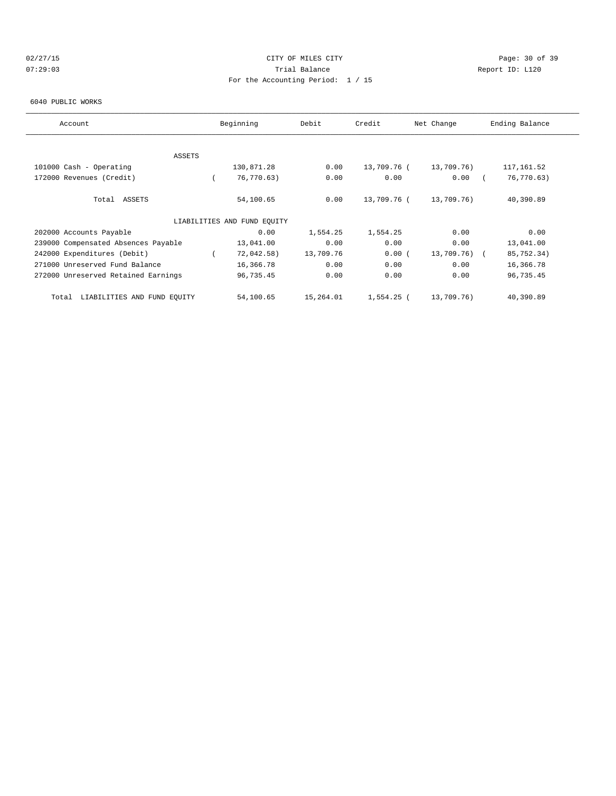## 02/27/15 **Page: 30 of 39** CITY OF MILES CITY **CITY Page: 30 of 39** 07:29:03 Trial Balance Report ID: L120 For the Accounting Period: 1 / 15

#### 6040 PUBLIC WORKS

| Account                              | Beginning                   | Debit     | Credit      | Net Change   | Ending Balance |
|--------------------------------------|-----------------------------|-----------|-------------|--------------|----------------|
|                                      |                             |           |             |              |                |
|                                      |                             |           |             |              |                |
| ASSETS                               |                             |           |             |              |                |
| 101000 Cash - Operating              | 130,871.28                  | 0.00      | 13,709.76 ( | 13,709.76)   | 117, 161.52    |
| 172000 Revenues (Credit)             | 76,770.63)                  | 0.00      | 0.00        | 0.00         | 76,770.63)     |
|                                      |                             |           |             |              |                |
| Total ASSETS                         | 54,100.65                   | 0.00      | 13,709.76 ( | 13,709.76)   | 40,390.89      |
|                                      |                             |           |             |              |                |
|                                      | LIABILITIES AND FUND EQUITY |           |             |              |                |
| 202000 Accounts Payable              | 0.00                        | 1,554.25  | 1,554.25    | 0.00         | 0.00           |
| 239000 Compensated Absences Payable  | 13,041.00                   | 0.00      | 0.00        | 0.00         | 13,041.00      |
| 242000 Expenditures (Debit)          | 72,042.58)                  | 13,709.76 | 0.00(       | 13,709.76) ( | 85,752.34)     |
| 271000 Unreserved Fund Balance       | 16,366.78                   | 0.00      | 0.00        | 0.00         | 16,366.78      |
| 272000 Unreserved Retained Earnings  | 96,735.45                   | 0.00      | 0.00        | 0.00         | 96,735.45      |
|                                      |                             |           |             |              |                |
| LIABILITIES AND FUND EQUITY<br>Total | 54,100.65                   | 15,264.01 | 1,554.25 (  | 13,709.76)   | 40,390.89      |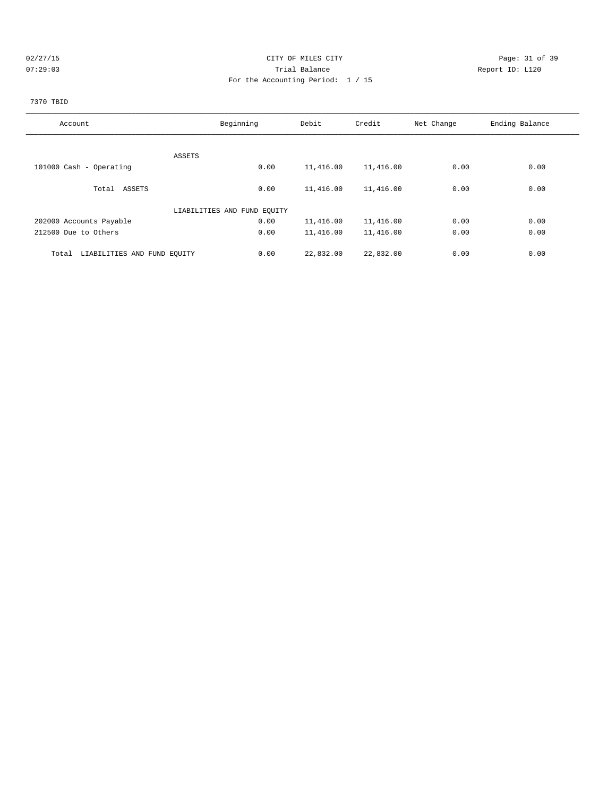## 02/27/15 **Page: 31 of 39** CITY OF MILES CITY **CITY Page: 31 of 39** 07:29:03 Trial Balance Report ID: L120 For the Accounting Period: 1 / 15

# 7370 TBID

| Account                              | Beginning                   | Debit     | Credit    | Net Change | Ending Balance |
|--------------------------------------|-----------------------------|-----------|-----------|------------|----------------|
|                                      |                             |           |           |            |                |
| ASSETS                               |                             |           |           |            |                |
| 101000 Cash - Operating              | 0.00                        | 11,416.00 | 11,416.00 | 0.00       | 0.00           |
|                                      |                             |           |           |            |                |
| Total ASSETS                         | 0.00                        | 11,416.00 | 11,416.00 | 0.00       | 0.00           |
|                                      | LIABILITIES AND FUND EQUITY |           |           |            |                |
| 202000 Accounts Payable              | 0.00                        | 11,416.00 | 11,416.00 | 0.00       | 0.00           |
| 212500 Due to Others                 | 0.00                        | 11,416.00 | 11,416.00 | 0.00       | 0.00           |
| LIABILITIES AND FUND EQUITY<br>Total | 0.00                        | 22,832.00 | 22,832.00 | 0.00       | 0.00           |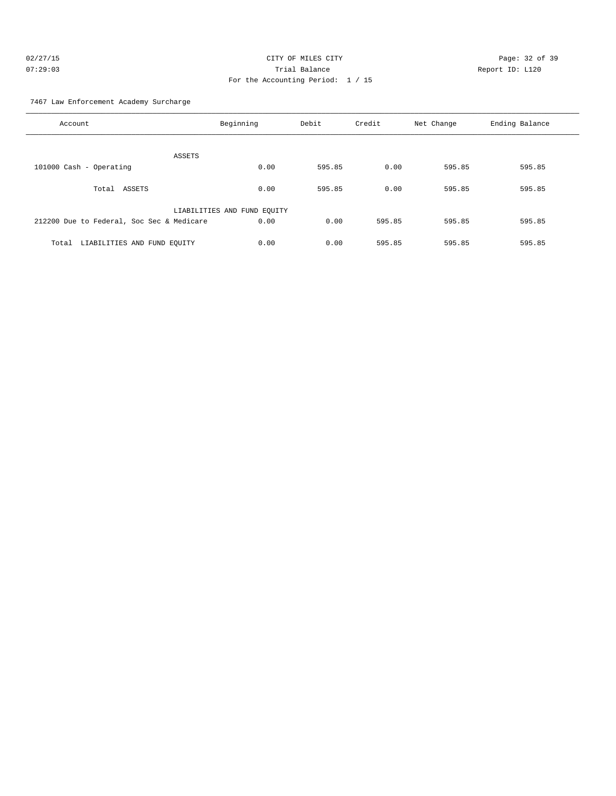| 02/27/15 | CITY OF MILES CITY                | Page: 32 of 39  |
|----------|-----------------------------------|-----------------|
| 07:29:03 | Trial Balance                     | Report ID: L120 |
|          | For the Accounting Period: 1 / 15 |                 |

7467 Law Enforcement Academy Surcharge

| Account                                   | Beginning                   | Debit  | Credit | Net Change | Ending Balance |
|-------------------------------------------|-----------------------------|--------|--------|------------|----------------|
| ASSETS                                    |                             |        |        |            |                |
| 101000 Cash - Operating                   | 0.00                        | 595.85 | 0.00   | 595.85     | 595.85         |
| Total<br>ASSETS                           | 0.00                        | 595.85 | 0.00   | 595.85     | 595.85         |
|                                           | LIABILITIES AND FUND EQUITY |        |        |            |                |
| 212200 Due to Federal, Soc Sec & Medicare | 0.00                        | 0.00   | 595.85 | 595.85     | 595.85         |
| LIABILITIES AND FUND EQUITY<br>Total      | 0.00                        | 0.00   | 595.85 | 595.85     | 595.85         |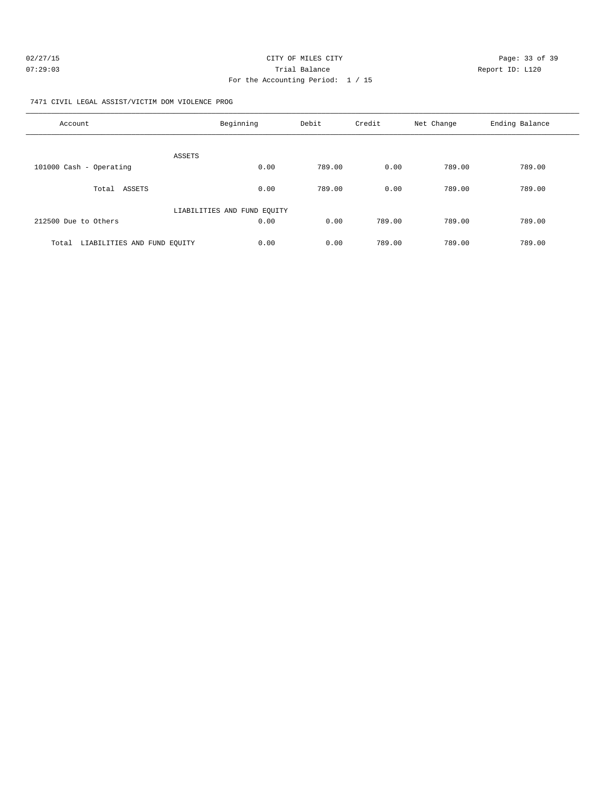| 02/27/15 | CITY OF MILES CITY                  | Page: 33 of 39  |
|----------|-------------------------------------|-----------------|
| 07:29:03 | Trial Balance                       | Report ID: L120 |
|          | For the Accounting Period: $1 / 15$ |                 |

7471 CIVIL LEGAL ASSIST/VICTIM DOM VIOLENCE PROG

| Account                              | Beginning                   | Debit  | Credit | Net Change | Ending Balance |
|--------------------------------------|-----------------------------|--------|--------|------------|----------------|
| <b>ASSETS</b>                        |                             |        |        |            |                |
| 101000 Cash - Operating              | 0.00                        | 789.00 | 0.00   | 789.00     | 789.00         |
| ASSETS<br>Total                      | 0.00                        | 789.00 | 0.00   | 789.00     | 789.00         |
|                                      | LIABILITIES AND FUND EQUITY |        |        |            |                |
| 212500 Due to Others                 | 0.00                        | 0.00   | 789.00 | 789.00     | 789.00         |
| LIABILITIES AND FUND EQUITY<br>Total | 0.00                        | 0.00   | 789.00 | 789.00     | 789.00         |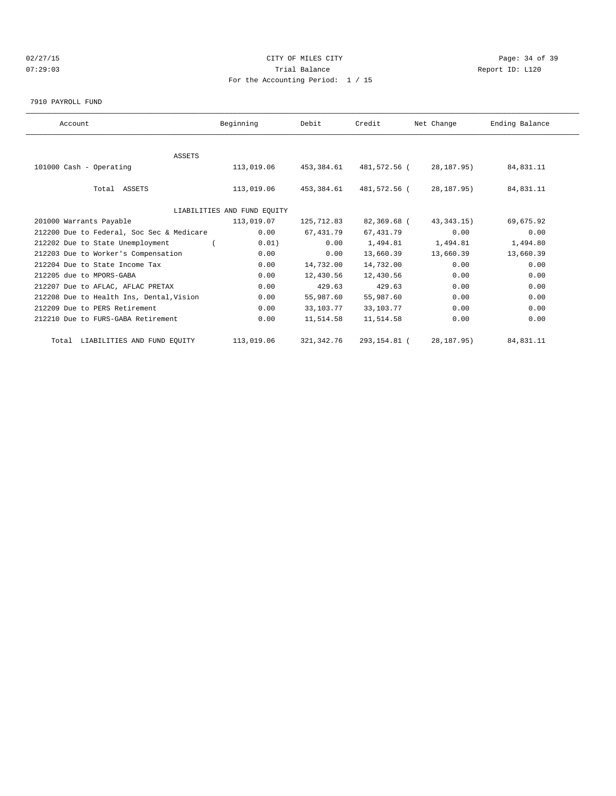## 02/27/15 **Page: 34 of 39** CITY OF MILES CITY **CITY Page: 34 of 39** 07:29:03 Trial Balance Report ID: L120 For the Accounting Period: 1 / 15

#### 7910 PAYROLL FUND

| Account                                   | Beginning                   | Debit       | Credit       | Net Change   | Ending Balance |  |
|-------------------------------------------|-----------------------------|-------------|--------------|--------------|----------------|--|
|                                           |                             |             |              |              |                |  |
| <b>ASSETS</b>                             |                             |             |              |              |                |  |
| 101000 Cash - Operating                   | 113,019.06                  | 453,384.61  | 481,572.56 ( | 28,187.95)   | 84,831.11      |  |
|                                           |                             |             |              |              |                |  |
| Total ASSETS                              | 113,019.06                  | 453,384.61  | 481,572.56 ( | 28,187.95)   | 84,831.11      |  |
|                                           |                             |             |              |              |                |  |
|                                           | LIABILITIES AND FUND EOUITY |             |              |              |                |  |
| 201000 Warrants Payable                   | 113,019.07                  | 125,712.83  | 82,369.68 (  | 43, 343. 15) | 69,675.92      |  |
| 212200 Due to Federal, Soc Sec & Medicare | 0.00                        | 67,431.79   | 67, 431.79   | 0.00         | 0.00           |  |
| 212202 Due to State Unemployment          | 0.01)                       | 0.00        | 1,494.81     | 1,494.81     | 1,494.80       |  |
| 212203 Due to Worker's Compensation       | 0.00                        | 0.00        | 13,660.39    | 13,660.39    | 13,660.39      |  |
| 212204 Due to State Income Tax            | 0.00                        | 14,732.00   | 14,732.00    | 0.00         | 0.00           |  |
| 212205 due to MPORS-GABA                  | 0.00                        | 12,430.56   | 12,430.56    | 0.00         | 0.00           |  |
| 212207 Due to AFLAC, AFLAC PRETAX         | 0.00                        | 429.63      | 429.63       | 0.00         | 0.00           |  |
| 212208 Due to Health Ins, Dental, Vision  | 0.00                        | 55,987.60   | 55,987.60    | 0.00         | 0.00           |  |
| 212209 Due to PERS Retirement             | 0.00                        | 33,103.77   | 33,103.77    | 0.00         | 0.00           |  |
| 212210 Due to FURS-GABA Retirement        | 0.00                        | 11,514.58   | 11,514.58    | 0.00         | 0.00           |  |
|                                           |                             |             |              |              |                |  |
| Total LIABILITIES AND FUND EQUITY         | 113,019.06                  | 321, 342.76 | 293,154.81 ( | 28, 187. 95) | 84,831.11      |  |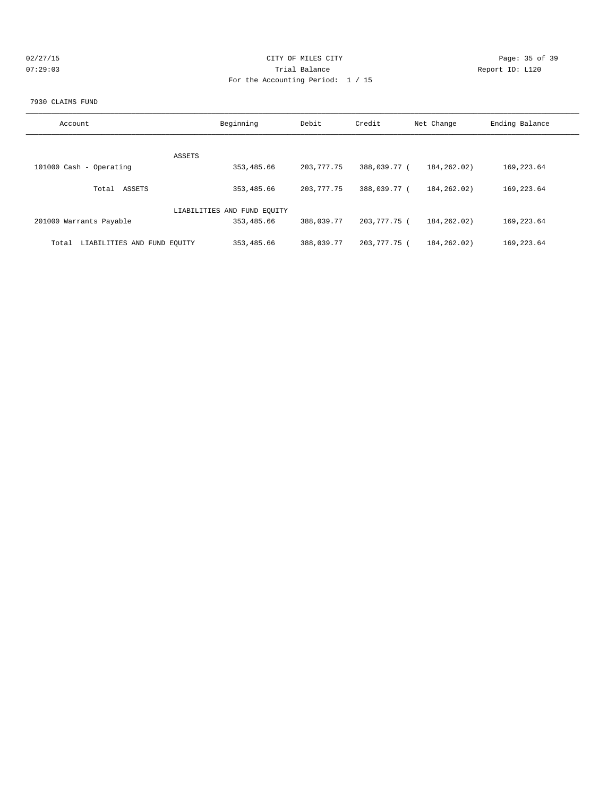| 02/27/1 |  |  |
|---------|--|--|
| N7:29:  |  |  |

## CITY OF MILES CITY CONTROL CONTROL CONTROL CONTROL CITY 07:29:03 Report ID: L120 For the Accounting Period: 1 / 15

#### 7930 CLAIMS FUND

| Account                              | Beginning                   | Debit      | Credit       | Net Change    | Ending Balance |
|--------------------------------------|-----------------------------|------------|--------------|---------------|----------------|
|                                      | ASSETS                      |            |              |               |                |
| 101000 Cash - Operating              | 353,485.66                  | 203,777.75 | 388,039.77 ( | 184,262.02)   | 169, 223.64    |
| Total ASSETS                         | 353,485.66                  | 203,777.75 | 388,039.77 ( | 184, 262, 02) | 169, 223.64    |
|                                      | LIABILITIES AND FUND EQUITY |            |              |               |                |
| 201000 Warrants Payable              | 353,485.66                  | 388,039.77 | 203,777.75 ( | 184, 262, 02) | 169, 223.64    |
| LIABILITIES AND FUND EQUITY<br>Total | 353,485.66                  | 388,039.77 | 203,777.75 ( | 184, 262, 02) | 169, 223.64    |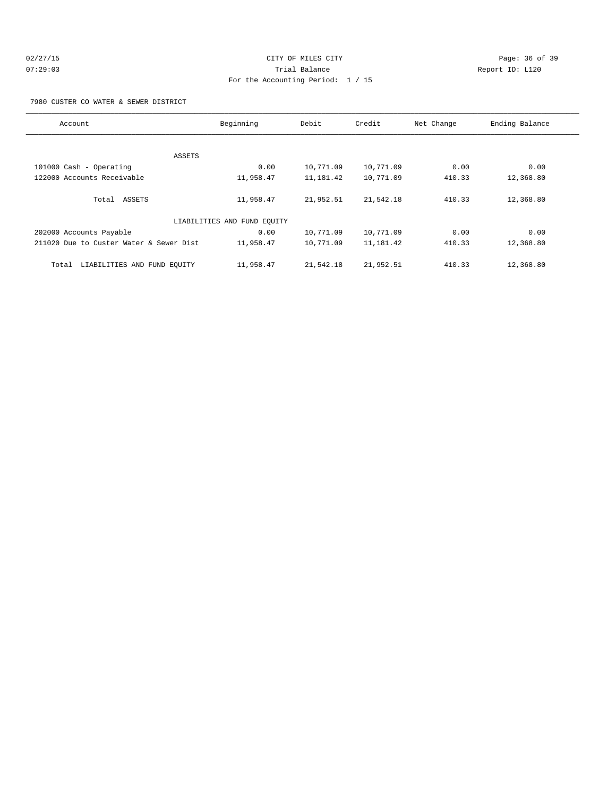## 02/27/15 **Page: 36 of 39** CITY OF MILES CITY **CITY Page: 36 of 39** 07:29:03 Trial Balance Report ID: L120 For the Accounting Period: 1 / 15

7980 CUSTER CO WATER & SEWER DISTRICT

| Account                                 | Beginning                   | Debit     | Credit    | Net Change | Ending Balance |  |
|-----------------------------------------|-----------------------------|-----------|-----------|------------|----------------|--|
|                                         |                             |           |           |            |                |  |
|                                         | ASSETS                      |           |           |            |                |  |
| 101000 Cash - Operating                 | 0.00                        | 10,771.09 | 10,771.09 | 0.00       | 0.00           |  |
| 122000 Accounts Receivable              | 11,958.47                   | 11,181.42 | 10,771.09 | 410.33     | 12,368.80      |  |
|                                         |                             |           |           |            |                |  |
| Total ASSETS                            | 11,958.47                   | 21,952.51 | 21,542.18 | 410.33     | 12,368.80      |  |
|                                         |                             |           |           |            |                |  |
|                                         | LIABILITIES AND FUND EQUITY |           |           |            |                |  |
| 202000 Accounts Payable                 | 0.00                        | 10,771.09 | 10,771.09 | 0.00       | 0.00           |  |
| 211020 Due to Custer Water & Sewer Dist | 11,958.47                   | 10,771.09 | 11,181.42 | 410.33     | 12,368.80      |  |
|                                         |                             |           |           |            |                |  |
| LIABILITIES AND FUND EQUITY<br>Total    | 11,958.47                   | 21,542.18 | 21,952.51 | 410.33     | 12,368.80      |  |
|                                         |                             |           |           |            |                |  |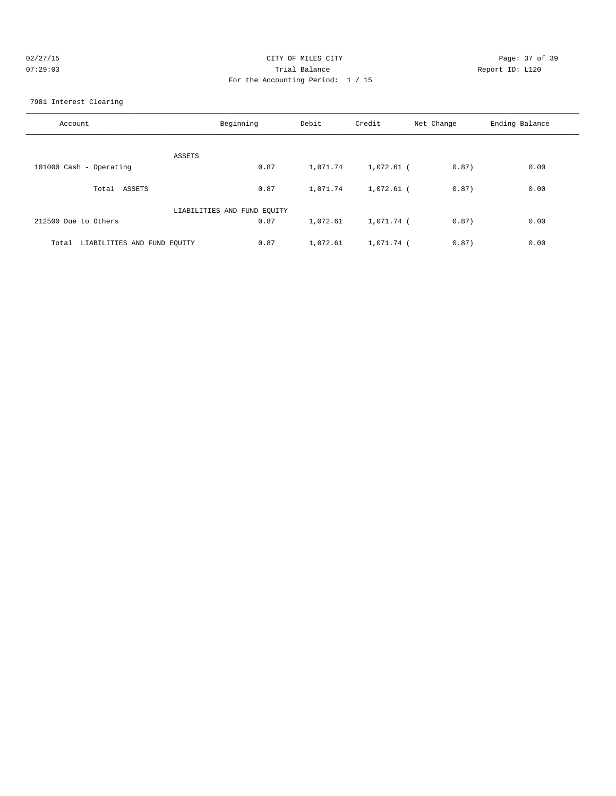| Page: 37 of 39  |
|-----------------|
| Report ID: L120 |
|                 |
|                 |

7981 Interest Clearing

| Account                              | Beginning                   | Debit    | Credit       | Net Change | Ending Balance |
|--------------------------------------|-----------------------------|----------|--------------|------------|----------------|
| ASSETS                               |                             |          |              |            |                |
| 101000 Cash - Operating              | 0.87                        | 1,071.74 | 1,072.61 (   | 0.87)      | 0.00           |
| ASSETS<br>Total                      | 0.87                        | 1,071.74 | $1,072.61$ ( | 0.87)      | 0.00           |
|                                      | LIABILITIES AND FUND EQUITY |          |              |            |                |
| 212500 Due to Others                 | 0.87                        | 1,072.61 | 1,071.74 (   | 0.87)      | 0.00           |
| LIABILITIES AND FUND EQUITY<br>Total | 0.87                        | 1,072.61 | 1,071.74 (   | 0.87)      | 0.00           |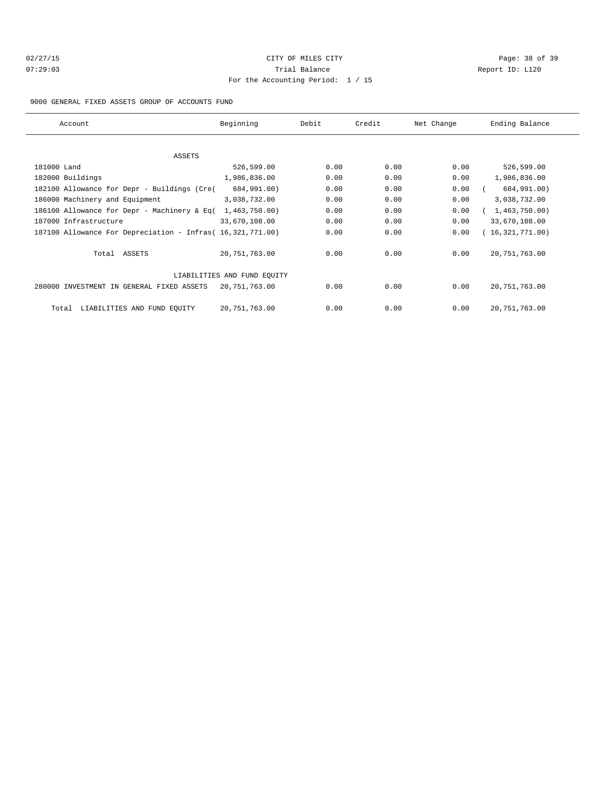## 02/27/15 **Page: 38 of 39** CITY OF MILES CITY **CITY Page: 38 of 39** 07:29:03 Trial Balance Report ID: L120 For the Accounting Period: 1 / 15

#### 9000 GENERAL FIXED ASSETS GROUP OF ACCOUNTS FUND

| Account                                                    | Beginning                   | Debit | Credit | Net Change | Ending Balance    |
|------------------------------------------------------------|-----------------------------|-------|--------|------------|-------------------|
| ASSETS                                                     |                             |       |        |            |                   |
| 181000 Land                                                | 526,599.00                  | 0.00  | 0.00   | 0.00       | 526,599.00        |
|                                                            | 1,986,836.00                | 0.00  | 0.00   | 0.00       |                   |
| 182000 Buildings                                           |                             |       |        |            | 1,986,836.00      |
| 182100 Allowance for Depr - Buildings (Cre(                | 684,991.00)                 | 0.00  | 0.00   | 0.00       | 684,991.00)       |
| 186000 Machinery and Equipment                             | 3,038,732.00                | 0.00  | 0.00   | 0.00       | 3,038,732.00      |
| 186100 Allowance for Depr - Machinery & Eq(                | 1,463,750.00                | 0.00  | 0.00   | 0.00       | (1, 463, 750.00)  |
| 187000 Infrastructure                                      | 33,670,108.00               | 0.00  | 0.00   | 0.00       | 33,670,108.00     |
| 187100 Allowance For Depreciation - Infras (16,321,771.00) |                             | 0.00  | 0.00   | 0.00       | (16, 321, 771.00) |
| Total ASSETS                                               | 20, 751, 763.00             | 0.00  | 0.00   | 0.00       | 20,751,763.00     |
|                                                            | LIABILITIES AND FUND EQUITY |       |        |            |                   |
| 280000 INVESTMENT IN GENERAL FIXED ASSETS                  | 20,751,763.00               | 0.00  | 0.00   | 0.00       | 20,751,763.00     |
| LIABILITIES AND FUND EOUITY<br>Total                       | 20,751,763.00               | 0.00  | 0.00   | 0.00       | 20, 751, 763.00   |